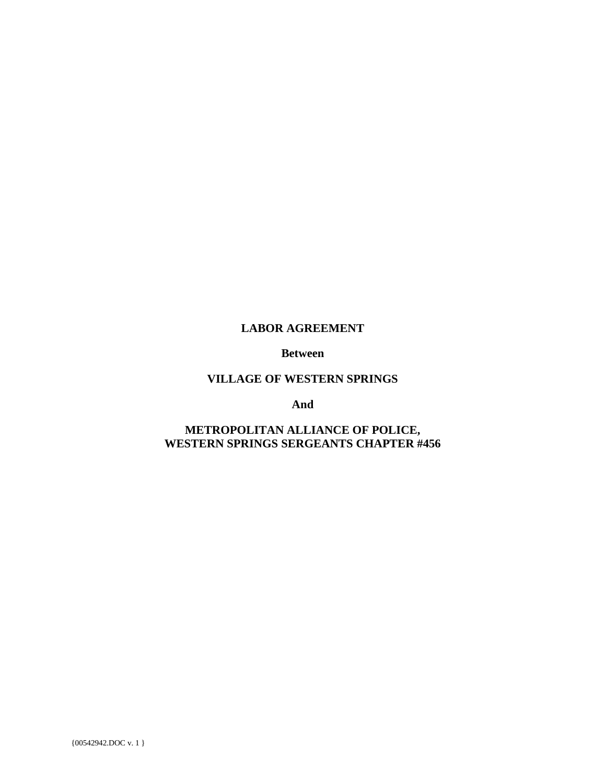# **LABOR AGREEMENT**

**Between**

# **VILLAGE OF WESTERN SPRINGS**

**And**

# **METROPOLITAN ALLIANCE OF POLICE, WESTERN SPRINGS SERGEANTS CHAPTER #456**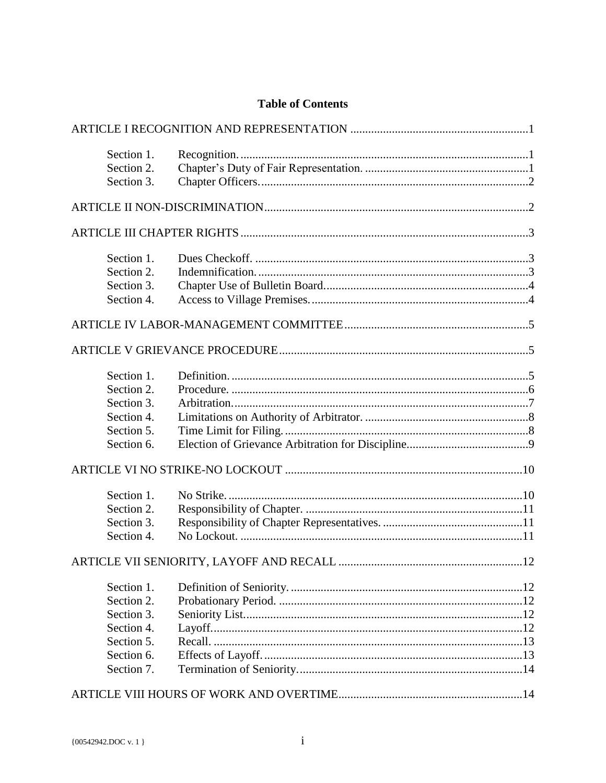| Section 1. |  |
|------------|--|
| Section 2. |  |
| Section 3. |  |
|            |  |
|            |  |
|            |  |
| Section 1. |  |
| Section 2. |  |
| Section 3. |  |
| Section 4. |  |
|            |  |
|            |  |
| Section 1. |  |
| Section 2. |  |
| Section 3. |  |
|            |  |
| Section 4. |  |
| Section 5. |  |
| Section 6. |  |
|            |  |
| Section 1. |  |
| Section 2. |  |
| Section 3. |  |
| Section 4. |  |
|            |  |
| Section 1. |  |
| Section 2. |  |
|            |  |
| Section 3. |  |
| Section 4. |  |
| Section 5. |  |
| Section 6. |  |
| Section 7. |  |
|            |  |

# **Table of Contents**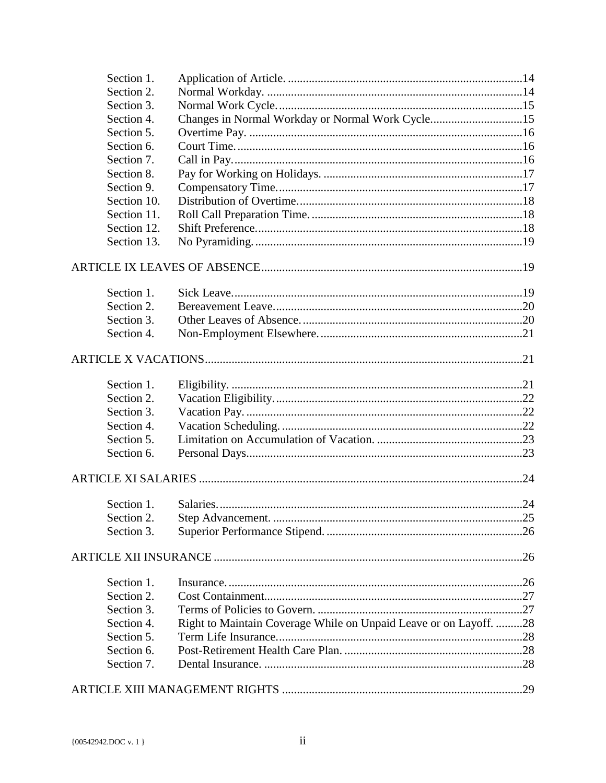| Section 1.  |                                                                   |  |
|-------------|-------------------------------------------------------------------|--|
| Section 2.  |                                                                   |  |
| Section 3.  |                                                                   |  |
| Section 4.  | Changes in Normal Workday or Normal Work Cycle15                  |  |
| Section 5.  |                                                                   |  |
| Section 6.  |                                                                   |  |
| Section 7.  |                                                                   |  |
| Section 8.  |                                                                   |  |
| Section 9.  |                                                                   |  |
| Section 10. |                                                                   |  |
| Section 11. |                                                                   |  |
| Section 12. |                                                                   |  |
| Section 13. |                                                                   |  |
|             |                                                                   |  |
| Section 1.  |                                                                   |  |
| Section 2.  |                                                                   |  |
| Section 3.  |                                                                   |  |
| Section 4.  |                                                                   |  |
|             |                                                                   |  |
| Section 1.  |                                                                   |  |
| Section 2.  |                                                                   |  |
| Section 3.  |                                                                   |  |
| Section 4.  |                                                                   |  |
| Section 5.  |                                                                   |  |
| Section 6.  |                                                                   |  |
|             |                                                                   |  |
| Section 1.  |                                                                   |  |
| Section 2.  |                                                                   |  |
| Section 3.  |                                                                   |  |
|             |                                                                   |  |
| Section 1.  |                                                                   |  |
| Section 2.  |                                                                   |  |
| Section 3.  |                                                                   |  |
| Section 4.  | Right to Maintain Coverage While on Unpaid Leave or on Layoff. 28 |  |
| Section 5.  |                                                                   |  |
| Section 6.  |                                                                   |  |
| Section 7.  |                                                                   |  |
|             |                                                                   |  |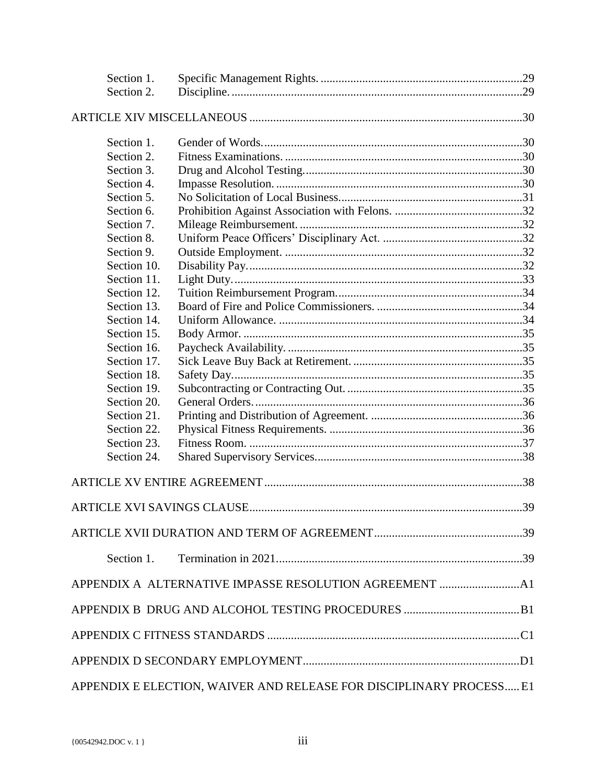| Section 1.  |                                                                     |  |
|-------------|---------------------------------------------------------------------|--|
| Section 2.  |                                                                     |  |
|             |                                                                     |  |
|             |                                                                     |  |
| Section 1.  |                                                                     |  |
| Section 2.  |                                                                     |  |
| Section 3.  |                                                                     |  |
| Section 4.  |                                                                     |  |
| Section 5.  |                                                                     |  |
| Section 6.  |                                                                     |  |
| Section 7.  |                                                                     |  |
| Section 8.  |                                                                     |  |
| Section 9.  |                                                                     |  |
| Section 10. |                                                                     |  |
| Section 11. |                                                                     |  |
| Section 12. |                                                                     |  |
| Section 13. |                                                                     |  |
| Section 14. |                                                                     |  |
| Section 15. |                                                                     |  |
| Section 16. |                                                                     |  |
| Section 17. |                                                                     |  |
| Section 18. |                                                                     |  |
| Section 19. |                                                                     |  |
| Section 20. |                                                                     |  |
| Section 21. |                                                                     |  |
| Section 22. |                                                                     |  |
| Section 23. |                                                                     |  |
| Section 24. |                                                                     |  |
|             |                                                                     |  |
|             |                                                                     |  |
|             |                                                                     |  |
|             |                                                                     |  |
|             |                                                                     |  |
| Section 1.  |                                                                     |  |
|             |                                                                     |  |
|             |                                                                     |  |
|             |                                                                     |  |
|             |                                                                     |  |
|             |                                                                     |  |
|             | APPENDIX E ELECTION, WAIVER AND RELEASE FOR DISCIPLINARY PROCESS E1 |  |
|             |                                                                     |  |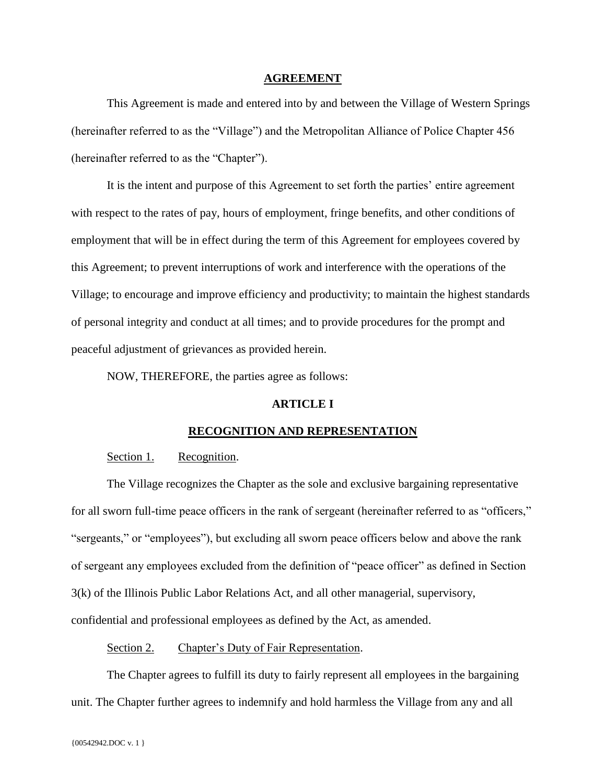### **AGREEMENT**

This Agreement is made and entered into by and between the Village of Western Springs (hereinafter referred to as the "Village") and the Metropolitan Alliance of Police Chapter 456 (hereinafter referred to as the "Chapter").

It is the intent and purpose of this Agreement to set forth the parties' entire agreement with respect to the rates of pay, hours of employment, fringe benefits, and other conditions of employment that will be in effect during the term of this Agreement for employees covered by this Agreement; to prevent interruptions of work and interference with the operations of the Village; to encourage and improve efficiency and productivity; to maintain the highest standards of personal integrity and conduct at all times; and to provide procedures for the prompt and peaceful adjustment of grievances as provided herein.

NOW, THEREFORE, the parties agree as follows:

## **ARTICLE I**

# **RECOGNITION AND REPRESENTATION**

#### <span id="page-4-0"></span>Section 1. Recognition.

<span id="page-4-1"></span>The Village recognizes the Chapter as the sole and exclusive bargaining representative for all sworn full-time peace officers in the rank of sergeant (hereinafter referred to as "officers," "sergeants," or "employees"), but excluding all sworn peace officers below and above the rank of sergeant any employees excluded from the definition of "peace officer" as defined in Section 3(k) of the Illinois Public Labor Relations Act, and all other managerial, supervisory, confidential and professional employees as defined by the Act, as amended.

### Section 2. Chapter's Duty of Fair Representation.

<span id="page-4-2"></span>The Chapter agrees to fulfill its duty to fairly represent all employees in the bargaining unit. The Chapter further agrees to indemnify and hold harmless the Village from any and all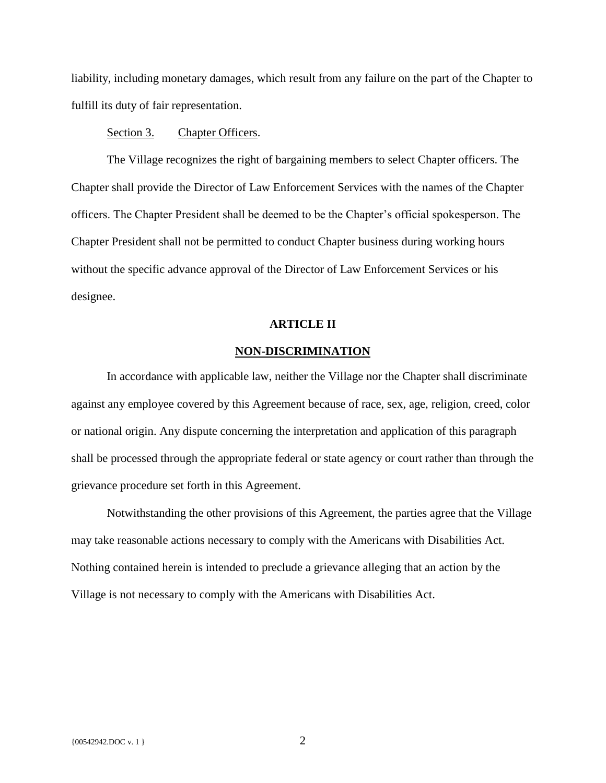liability, including monetary damages, which result from any failure on the part of the Chapter to fulfill its duty of fair representation.

### Section 3. Chapter Officers.

<span id="page-5-0"></span>The Village recognizes the right of bargaining members to select Chapter officers. The Chapter shall provide the Director of Law Enforcement Services with the names of the Chapter officers. The Chapter President shall be deemed to be the Chapter's official spokesperson. The Chapter President shall not be permitted to conduct Chapter business during working hours without the specific advance approval of the Director of Law Enforcement Services or his designee.

#### **ARTICLE II**

### **NON-DISCRIMINATION**

<span id="page-5-1"></span>In accordance with applicable law, neither the Village nor the Chapter shall discriminate against any employee covered by this Agreement because of race, sex, age, religion, creed, color or national origin. Any dispute concerning the interpretation and application of this paragraph shall be processed through the appropriate federal or state agency or court rather than through the grievance procedure set forth in this Agreement.

Notwithstanding the other provisions of this Agreement, the parties agree that the Village may take reasonable actions necessary to comply with the Americans with Disabilities Act. Nothing contained herein is intended to preclude a grievance alleging that an action by the Village is not necessary to comply with the Americans with Disabilities Act.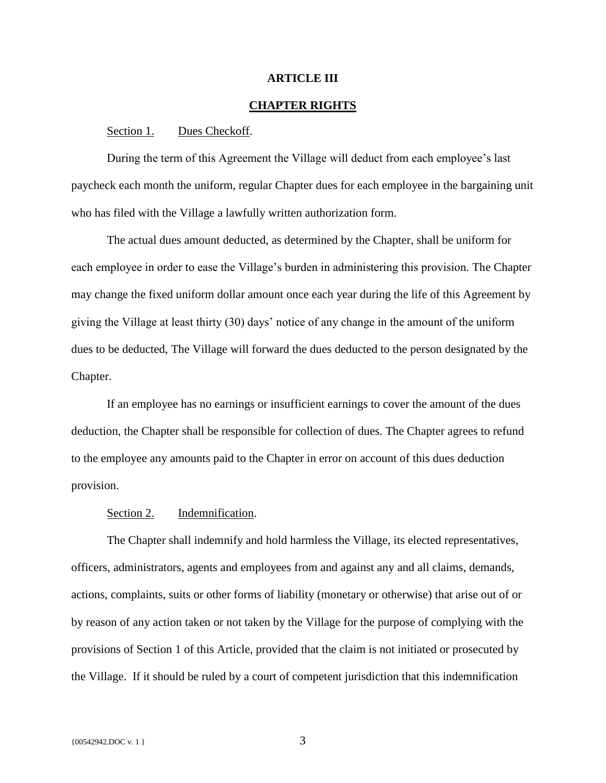#### **ARTICLE III**

# **CHAPTER RIGHTS**

### <span id="page-6-0"></span>Section 1. Dues Checkoff.

<span id="page-6-1"></span>During the term of this Agreement the Village will deduct from each employee's last paycheck each month the uniform, regular Chapter dues for each employee in the bargaining unit who has filed with the Village a lawfully written authorization form.

The actual dues amount deducted, as determined by the Chapter, shall be uniform for each employee in order to ease the Village's burden in administering this provision. The Chapter may change the fixed uniform dollar amount once each year during the life of this Agreement by giving the Village at least thirty (30) days' notice of any change in the amount of the uniform dues to be deducted, The Village will forward the dues deducted to the person designated by the Chapter.

If an employee has no earnings or insufficient earnings to cover the amount of the dues deduction, the Chapter shall be responsible for collection of dues. The Chapter agrees to refund to the employee any amounts paid to the Chapter in error on account of this dues deduction provision.

## Section 2. Indemnification.

<span id="page-6-2"></span>The Chapter shall indemnify and hold harmless the Village, its elected representatives, officers, administrators, agents and employees from and against any and all claims, demands, actions, complaints, suits or other forms of liability (monetary or otherwise) that arise out of or by reason of any action taken or not taken by the Village for the purpose of complying with the provisions of Section 1 of this Article, provided that the claim is not initiated or prosecuted by the Village. If it should be ruled by a court of competent jurisdiction that this indemnification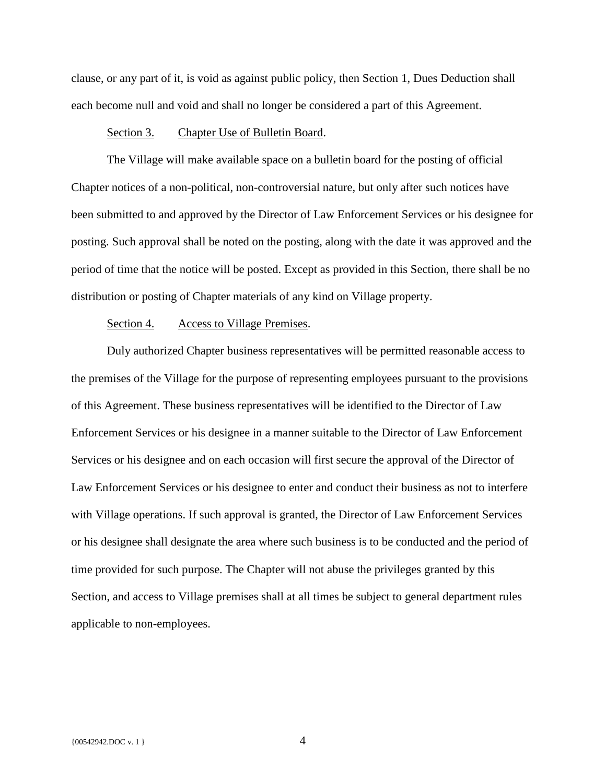clause, or any part of it, is void as against public policy, then Section 1, Dues Deduction shall each become null and void and shall no longer be considered a part of this Agreement.

### Section 3. Chapter Use of Bulletin Board.

<span id="page-7-0"></span>The Village will make available space on a bulletin board for the posting of official Chapter notices of a non-political, non-controversial nature, but only after such notices have been submitted to and approved by the Director of Law Enforcement Services or his designee for posting. Such approval shall be noted on the posting, along with the date it was approved and the period of time that the notice will be posted. Except as provided in this Section, there shall be no distribution or posting of Chapter materials of any kind on Village property.

#### Section 4. Access to Village Premises.

<span id="page-7-1"></span>Duly authorized Chapter business representatives will be permitted reasonable access to the premises of the Village for the purpose of representing employees pursuant to the provisions of this Agreement. These business representatives will be identified to the Director of Law Enforcement Services or his designee in a manner suitable to the Director of Law Enforcement Services or his designee and on each occasion will first secure the approval of the Director of Law Enforcement Services or his designee to enter and conduct their business as not to interfere with Village operations. If such approval is granted, the Director of Law Enforcement Services or his designee shall designate the area where such business is to be conducted and the period of time provided for such purpose. The Chapter will not abuse the privileges granted by this Section, and access to Village premises shall at all times be subject to general department rules applicable to non-employees.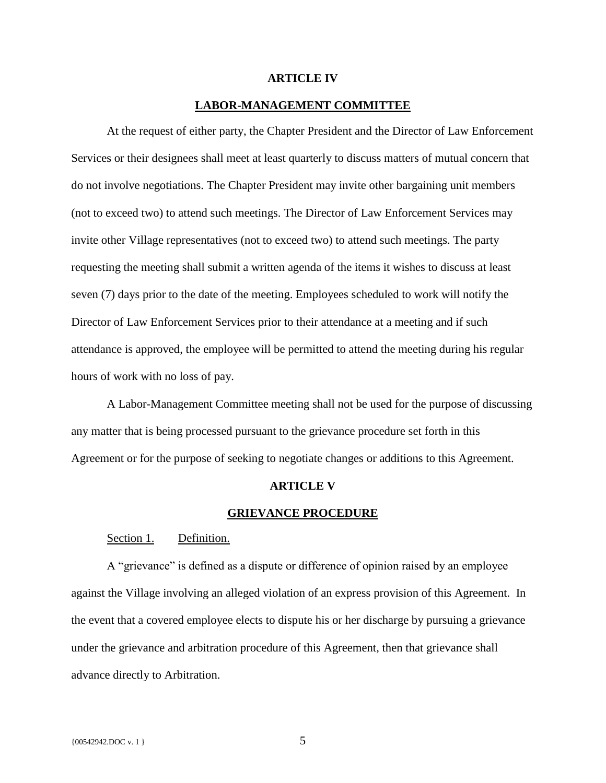#### **ARTICLE IV**

# **LABOR-MANAGEMENT COMMITTEE**

<span id="page-8-0"></span>At the request of either party, the Chapter President and the Director of Law Enforcement Services or their designees shall meet at least quarterly to discuss matters of mutual concern that do not involve negotiations. The Chapter President may invite other bargaining unit members (not to exceed two) to attend such meetings. The Director of Law Enforcement Services may invite other Village representatives (not to exceed two) to attend such meetings. The party requesting the meeting shall submit a written agenda of the items it wishes to discuss at least seven (7) days prior to the date of the meeting. Employees scheduled to work will notify the Director of Law Enforcement Services prior to their attendance at a meeting and if such attendance is approved, the employee will be permitted to attend the meeting during his regular hours of work with no loss of pay.

A Labor-Management Committee meeting shall not be used for the purpose of discussing any matter that is being processed pursuant to the grievance procedure set forth in this Agreement or for the purpose of seeking to negotiate changes or additions to this Agreement.

#### **ARTICLE V**

#### **GRIEVANCE PROCEDURE**

### <span id="page-8-1"></span>Section 1. Definition.

<span id="page-8-2"></span>A "grievance" is defined as a dispute or difference of opinion raised by an employee against the Village involving an alleged violation of an express provision of this Agreement. In the event that a covered employee elects to dispute his or her discharge by pursuing a grievance under the grievance and arbitration procedure of this Agreement, then that grievance shall advance directly to Arbitration.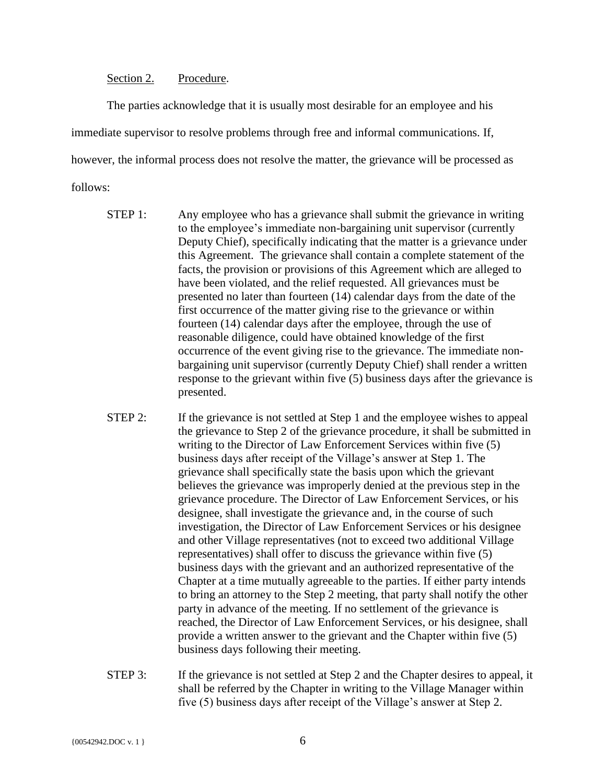## Section 2. Procedure.

<span id="page-9-0"></span>The parties acknowledge that it is usually most desirable for an employee and his immediate supervisor to resolve problems through free and informal communications. If, however, the informal process does not resolve the matter, the grievance will be processed as follows:

- STEP 1: Any employee who has a grievance shall submit the grievance in writing to the employee's immediate non-bargaining unit supervisor (currently Deputy Chief), specifically indicating that the matter is a grievance under this Agreement. The grievance shall contain a complete statement of the facts, the provision or provisions of this Agreement which are alleged to have been violated, and the relief requested. All grievances must be presented no later than fourteen (14) calendar days from the date of the first occurrence of the matter giving rise to the grievance or within fourteen (14) calendar days after the employee, through the use of reasonable diligence, could have obtained knowledge of the first occurrence of the event giving rise to the grievance. The immediate nonbargaining unit supervisor (currently Deputy Chief) shall render a written response to the grievant within five (5) business days after the grievance is presented.
- STEP 2: If the grievance is not settled at Step 1 and the employee wishes to appeal the grievance to Step 2 of the grievance procedure, it shall be submitted in writing to the Director of Law Enforcement Services within five (5) business days after receipt of the Village's answer at Step 1. The grievance shall specifically state the basis upon which the grievant believes the grievance was improperly denied at the previous step in the grievance procedure. The Director of Law Enforcement Services, or his designee, shall investigate the grievance and, in the course of such investigation, the Director of Law Enforcement Services or his designee and other Village representatives (not to exceed two additional Village representatives) shall offer to discuss the grievance within five (5) business days with the grievant and an authorized representative of the Chapter at a time mutually agreeable to the parties. If either party intends to bring an attorney to the Step 2 meeting, that party shall notify the other party in advance of the meeting. If no settlement of the grievance is reached, the Director of Law Enforcement Services, or his designee, shall provide a written answer to the grievant and the Chapter within five (5) business days following their meeting.
- STEP 3: If the grievance is not settled at Step 2 and the Chapter desires to appeal, it shall be referred by the Chapter in writing to the Village Manager within five (5) business days after receipt of the Village's answer at Step 2.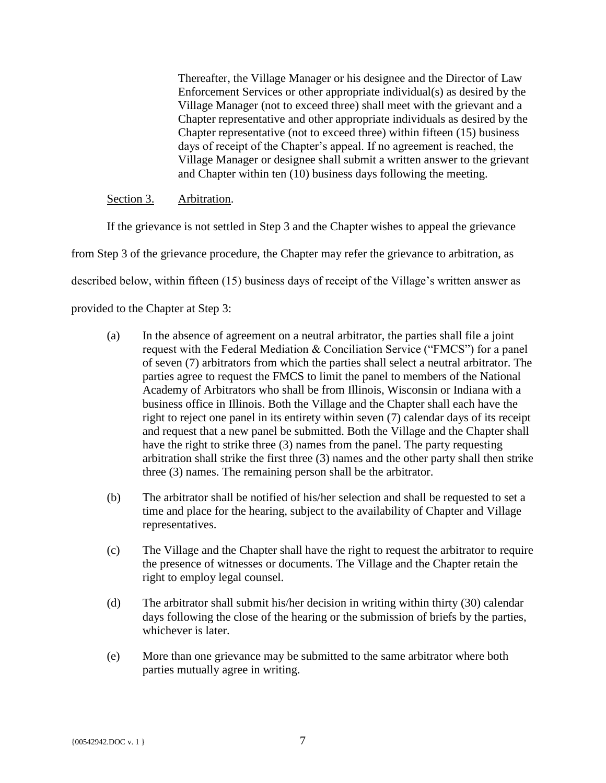Thereafter, the Village Manager or his designee and the Director of Law Enforcement Services or other appropriate individual(s) as desired by the Village Manager (not to exceed three) shall meet with the grievant and a Chapter representative and other appropriate individuals as desired by the Chapter representative (not to exceed three) within fifteen (15) business days of receipt of the Chapter's appeal. If no agreement is reached, the Village Manager or designee shall submit a written answer to the grievant and Chapter within ten (10) business days following the meeting.

## Section 3. Arbitration.

<span id="page-10-0"></span>If the grievance is not settled in Step 3 and the Chapter wishes to appeal the grievance from Step 3 of the grievance procedure, the Chapter may refer the grievance to arbitration, as described below, within fifteen (15) business days of receipt of the Village's written answer as provided to the Chapter at Step 3:

- (a) In the absence of agreement on a neutral arbitrator, the parties shall file a joint request with the Federal Mediation & Conciliation Service ("FMCS") for a panel of seven (7) arbitrators from which the parties shall select a neutral arbitrator. The parties agree to request the FMCS to limit the panel to members of the National Academy of Arbitrators who shall be from Illinois, Wisconsin or Indiana with a business office in Illinois. Both the Village and the Chapter shall each have the right to reject one panel in its entirety within seven (7) calendar days of its receipt and request that a new panel be submitted. Both the Village and the Chapter shall have the right to strike three (3) names from the panel. The party requesting arbitration shall strike the first three (3) names and the other party shall then strike three (3) names. The remaining person shall be the arbitrator.
- (b) The arbitrator shall be notified of his/her selection and shall be requested to set a time and place for the hearing, subject to the availability of Chapter and Village representatives.
- (c) The Village and the Chapter shall have the right to request the arbitrator to require the presence of witnesses or documents. The Village and the Chapter retain the right to employ legal counsel.
- (d) The arbitrator shall submit his/her decision in writing within thirty (30) calendar days following the close of the hearing or the submission of briefs by the parties, whichever is later.
- (e) More than one grievance may be submitted to the same arbitrator where both parties mutually agree in writing.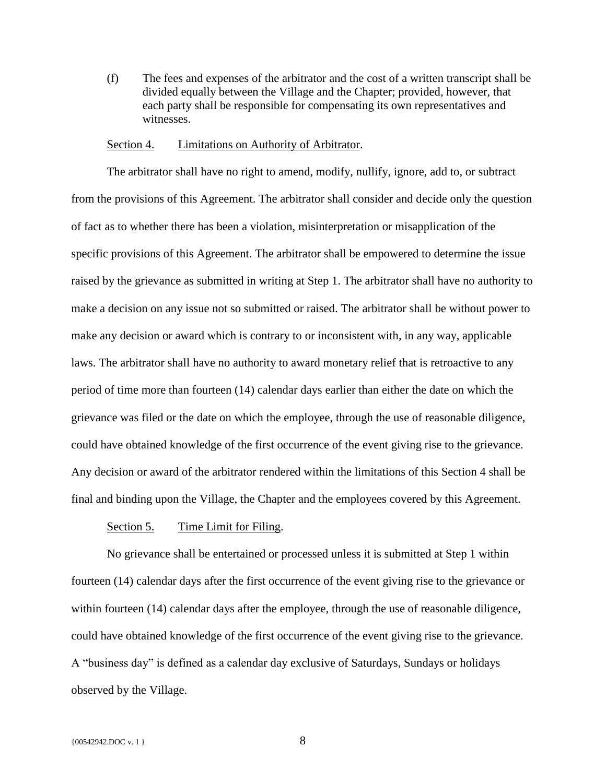(f) The fees and expenses of the arbitrator and the cost of a written transcript shall be divided equally between the Village and the Chapter; provided, however, that each party shall be responsible for compensating its own representatives and witnesses.

### Section 4. Limitations on Authority of Arbitrator.

<span id="page-11-0"></span>The arbitrator shall have no right to amend, modify, nullify, ignore, add to, or subtract from the provisions of this Agreement. The arbitrator shall consider and decide only the question of fact as to whether there has been a violation, misinterpretation or misapplication of the specific provisions of this Agreement. The arbitrator shall be empowered to determine the issue raised by the grievance as submitted in writing at Step 1. The arbitrator shall have no authority to make a decision on any issue not so submitted or raised. The arbitrator shall be without power to make any decision or award which is contrary to or inconsistent with, in any way, applicable laws. The arbitrator shall have no authority to award monetary relief that is retroactive to any period of time more than fourteen (14) calendar days earlier than either the date on which the grievance was filed or the date on which the employee, through the use of reasonable diligence, could have obtained knowledge of the first occurrence of the event giving rise to the grievance. Any decision or award of the arbitrator rendered within the limitations of this Section 4 shall be final and binding upon the Village, the Chapter and the employees covered by this Agreement.

#### Section 5. Time Limit for Filing.

<span id="page-11-1"></span>No grievance shall be entertained or processed unless it is submitted at Step 1 within fourteen (14) calendar days after the first occurrence of the event giving rise to the grievance or within fourteen (14) calendar days after the employee, through the use of reasonable diligence, could have obtained knowledge of the first occurrence of the event giving rise to the grievance. A "business day" is defined as a calendar day exclusive of Saturdays, Sundays or holidays observed by the Village.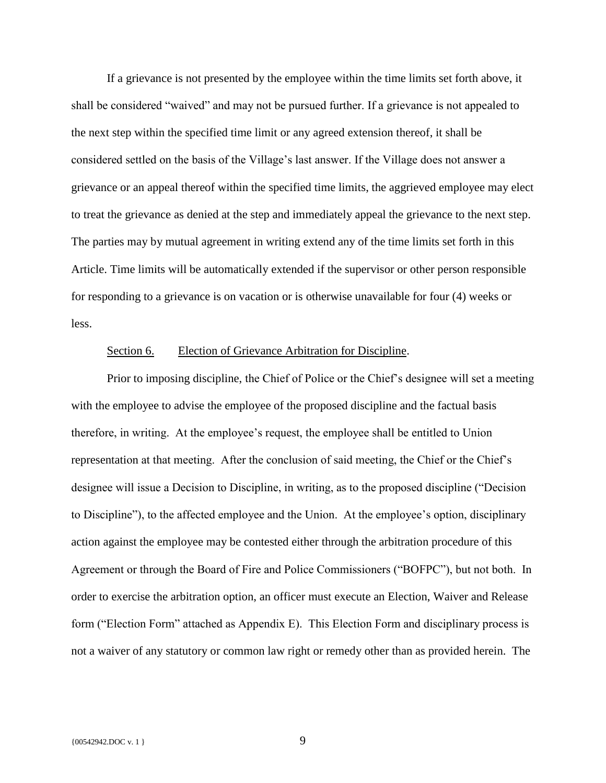If a grievance is not presented by the employee within the time limits set forth above, it shall be considered "waived" and may not be pursued further. If a grievance is not appealed to the next step within the specified time limit or any agreed extension thereof, it shall be considered settled on the basis of the Village's last answer. If the Village does not answer a grievance or an appeal thereof within the specified time limits, the aggrieved employee may elect to treat the grievance as denied at the step and immediately appeal the grievance to the next step. The parties may by mutual agreement in writing extend any of the time limits set forth in this Article. Time limits will be automatically extended if the supervisor or other person responsible for responding to a grievance is on vacation or is otherwise unavailable for four (4) weeks or less.

### Section 6. Election of Grievance Arbitration for Discipline.

<span id="page-12-0"></span>Prior to imposing discipline, the Chief of Police or the Chief's designee will set a meeting with the employee to advise the employee of the proposed discipline and the factual basis therefore, in writing. At the employee's request, the employee shall be entitled to Union representation at that meeting. After the conclusion of said meeting, the Chief or the Chief's designee will issue a Decision to Discipline, in writing, as to the proposed discipline ("Decision to Discipline"), to the affected employee and the Union. At the employee's option, disciplinary action against the employee may be contested either through the arbitration procedure of this Agreement or through the Board of Fire and Police Commissioners ("BOFPC"), but not both. In order to exercise the arbitration option, an officer must execute an Election, Waiver and Release form ("Election Form" attached as Appendix E). This Election Form and disciplinary process is not a waiver of any statutory or common law right or remedy other than as provided herein. The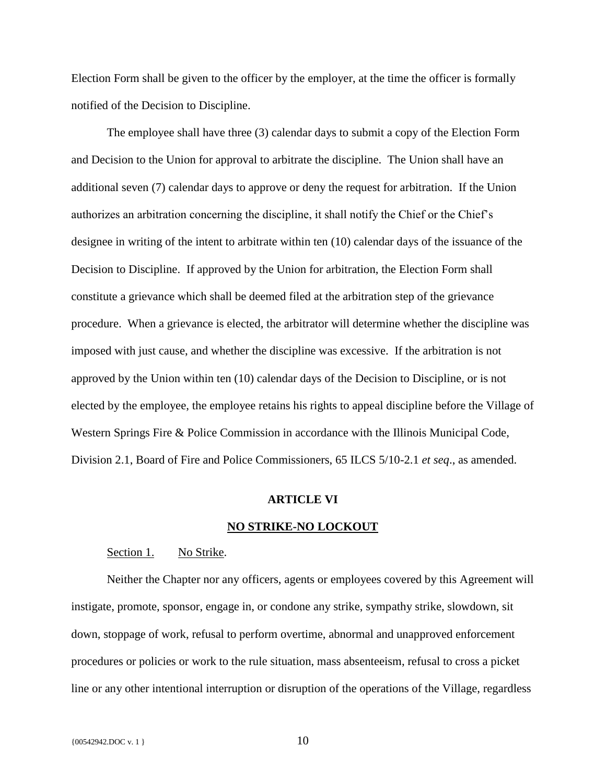Election Form shall be given to the officer by the employer, at the time the officer is formally notified of the Decision to Discipline.

The employee shall have three (3) calendar days to submit a copy of the Election Form and Decision to the Union for approval to arbitrate the discipline. The Union shall have an additional seven (7) calendar days to approve or deny the request for arbitration. If the Union authorizes an arbitration concerning the discipline, it shall notify the Chief or the Chief's designee in writing of the intent to arbitrate within ten (10) calendar days of the issuance of the Decision to Discipline. If approved by the Union for arbitration, the Election Form shall constitute a grievance which shall be deemed filed at the arbitration step of the grievance procedure. When a grievance is elected, the arbitrator will determine whether the discipline was imposed with just cause, and whether the discipline was excessive. If the arbitration is not approved by the Union within ten (10) calendar days of the Decision to Discipline, or is not elected by the employee, the employee retains his rights to appeal discipline before the Village of Western Springs Fire & Police Commission in accordance with the Illinois Municipal Code, Division 2.1, Board of Fire and Police Commissioners, 65 ILCS 5/10-2.1 *et seq*., as amended.

#### **ARTICLE VI**

#### **NO STRIKE-NO LOCKOUT**

#### <span id="page-13-0"></span>Section 1. No Strike.

<span id="page-13-1"></span>Neither the Chapter nor any officers, agents or employees covered by this Agreement will instigate, promote, sponsor, engage in, or condone any strike, sympathy strike, slowdown, sit down, stoppage of work, refusal to perform overtime, abnormal and unapproved enforcement procedures or policies or work to the rule situation, mass absenteeism, refusal to cross a picket line or any other intentional interruption or disruption of the operations of the Village, regardless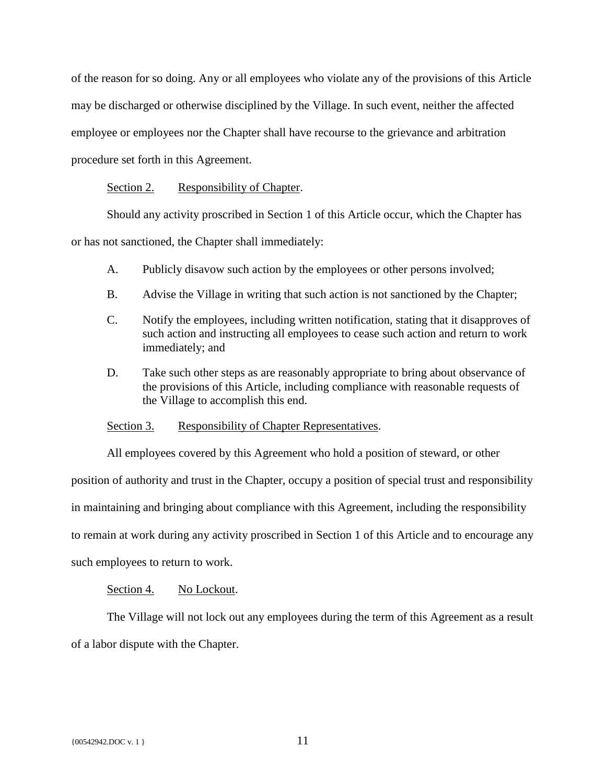of the reason for so doing. Any or all employees who violate any of the provisions of this Article may be discharged or otherwise disciplined by the Village. In such event, neither the affected employee or employees nor the Chapter shall have recourse to the grievance and arbitration procedure set forth in this Agreement.

### <span id="page-14-0"></span>Section 2. Responsibility of Chapter.

Should any activity proscribed in Section 1 of this Article occur, which the Chapter has

or has not sanctioned, the Chapter shall immediately:

- A. Publicly disavow such action by the employees or other persons involved;
- B. Advise the Village in writing that such action is not sanctioned by the Chapter;
- C. Notify the employees, including written notification, stating that it disapproves of such action and instructing all employees to cease such action and return to work immediately; and
- D. Take such other steps as are reasonably appropriate to bring about observance of the provisions of this Article, including compliance with reasonable requests of the Village to accomplish this end.

<span id="page-14-1"></span>Section 3. Responsibility of Chapter Representatives.

All employees covered by this Agreement who hold a position of steward, or other

position of authority and trust in the Chapter, occupy a position of special trust and responsibility in maintaining and bringing about compliance with this Agreement, including the responsibility to remain at work during any activity proscribed in Section 1 of this Article and to encourage any such employees to return to work.

#### Section 4. No Lockout.

<span id="page-14-2"></span>The Village will not lock out any employees during the term of this Agreement as a result of a labor dispute with the Chapter.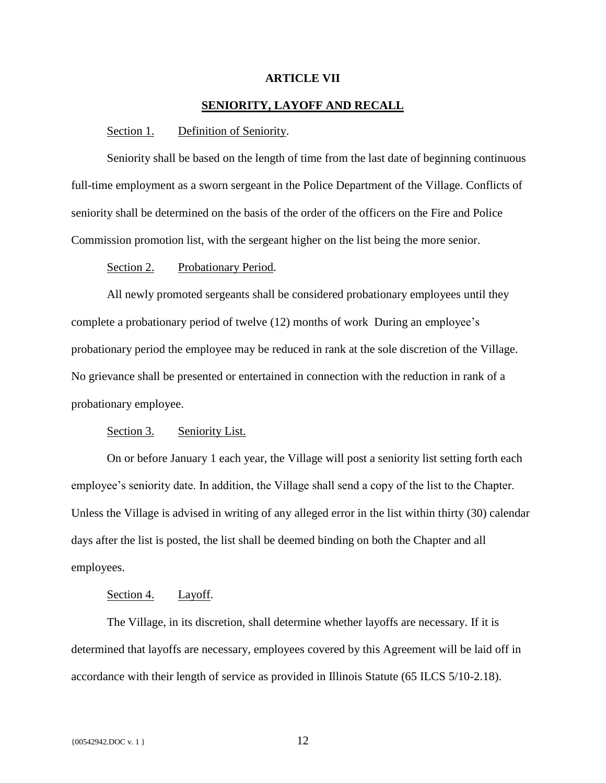#### **ARTICLE VII**

# **SENIORITY, LAYOFF AND RECALL**

#### <span id="page-15-0"></span>Section 1. Definition of Seniority.

<span id="page-15-1"></span>Seniority shall be based on the length of time from the last date of beginning continuous full-time employment as a sworn sergeant in the Police Department of the Village. Conflicts of seniority shall be determined on the basis of the order of the officers on the Fire and Police Commission promotion list, with the sergeant higher on the list being the more senior.

### Section 2. Probationary Period.

<span id="page-15-2"></span>All newly promoted sergeants shall be considered probationary employees until they complete a probationary period of twelve (12) months of work During an employee's probationary period the employee may be reduced in rank at the sole discretion of the Village. No grievance shall be presented or entertained in connection with the reduction in rank of a probationary employee.

# Section 3. Seniority List.

<span id="page-15-3"></span>On or before January 1 each year, the Village will post a seniority list setting forth each employee's seniority date. In addition, the Village shall send a copy of the list to the Chapter. Unless the Village is advised in writing of any alleged error in the list within thirty (30) calendar days after the list is posted, the list shall be deemed binding on both the Chapter and all employees.

#### Section 4. Layoff.

<span id="page-15-4"></span>The Village, in its discretion, shall determine whether layoffs are necessary. If it is determined that layoffs are necessary, employees covered by this Agreement will be laid off in accordance with their length of service as provided in Illinois Statute (65 ILCS 5/10-2.18).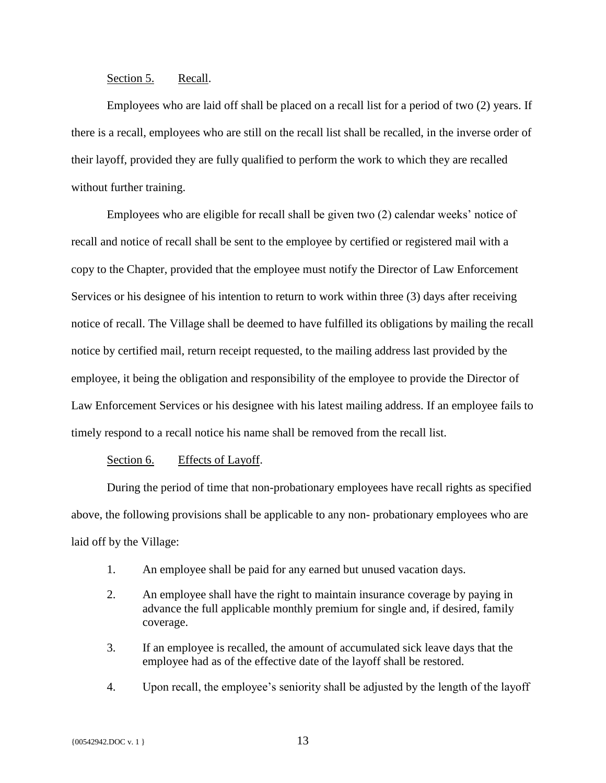## Section 5. Recall.

<span id="page-16-0"></span>Employees who are laid off shall be placed on a recall list for a period of two (2) years. If there is a recall, employees who are still on the recall list shall be recalled, in the inverse order of their layoff, provided they are fully qualified to perform the work to which they are recalled without further training.

Employees who are eligible for recall shall be given two (2) calendar weeks' notice of recall and notice of recall shall be sent to the employee by certified or registered mail with a copy to the Chapter, provided that the employee must notify the Director of Law Enforcement Services or his designee of his intention to return to work within three (3) days after receiving notice of recall. The Village shall be deemed to have fulfilled its obligations by mailing the recall notice by certified mail, return receipt requested, to the mailing address last provided by the employee, it being the obligation and responsibility of the employee to provide the Director of Law Enforcement Services or his designee with his latest mailing address. If an employee fails to timely respond to a recall notice his name shall be removed from the recall list.

## Section 6. Effects of Layoff.

<span id="page-16-1"></span>During the period of time that non-probationary employees have recall rights as specified above, the following provisions shall be applicable to any non- probationary employees who are laid off by the Village:

- 1. An employee shall be paid for any earned but unused vacation days.
- 2. An employee shall have the right to maintain insurance coverage by paying in advance the full applicable monthly premium for single and, if desired, family coverage.
- 3. If an employee is recalled, the amount of accumulated sick leave days that the employee had as of the effective date of the layoff shall be restored.
- 4. Upon recall, the employee's seniority shall be adjusted by the length of the layoff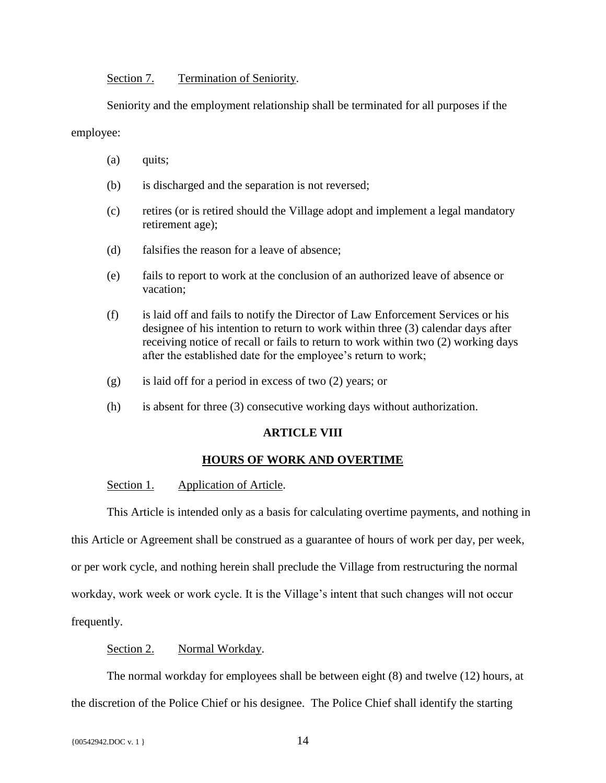<span id="page-17-0"></span>Section 7. Termination of Seniority.

Seniority and the employment relationship shall be terminated for all purposes if the

employee:

- (a) quits;
- (b) is discharged and the separation is not reversed;
- (c) retires (or is retired should the Village adopt and implement a legal mandatory retirement age);
- (d) falsifies the reason for a leave of absence;
- (e) fails to report to work at the conclusion of an authorized leave of absence or vacation;
- (f) is laid off and fails to notify the Director of Law Enforcement Services or his designee of his intention to return to work within three (3) calendar days after receiving notice of recall or fails to return to work within two (2) working days after the established date for the employee's return to work;
- $(g)$  is laid off for a period in excess of two (2) years; or
- (h) is absent for three (3) consecutive working days without authorization.

#### **ARTICLE VIII**

#### **HOURS OF WORK AND OVERTIME**

## <span id="page-17-1"></span>Section 1. Application of Article.

<span id="page-17-2"></span>This Article is intended only as a basis for calculating overtime payments, and nothing in this Article or Agreement shall be construed as a guarantee of hours of work per day, per week, or per work cycle, and nothing herein shall preclude the Village from restructuring the normal workday, work week or work cycle. It is the Village's intent that such changes will not occur frequently.

## Section 2. Normal Workday.

<span id="page-17-3"></span>The normal workday for employees shall be between eight (8) and twelve (12) hours, at the discretion of the Police Chief or his designee. The Police Chief shall identify the starting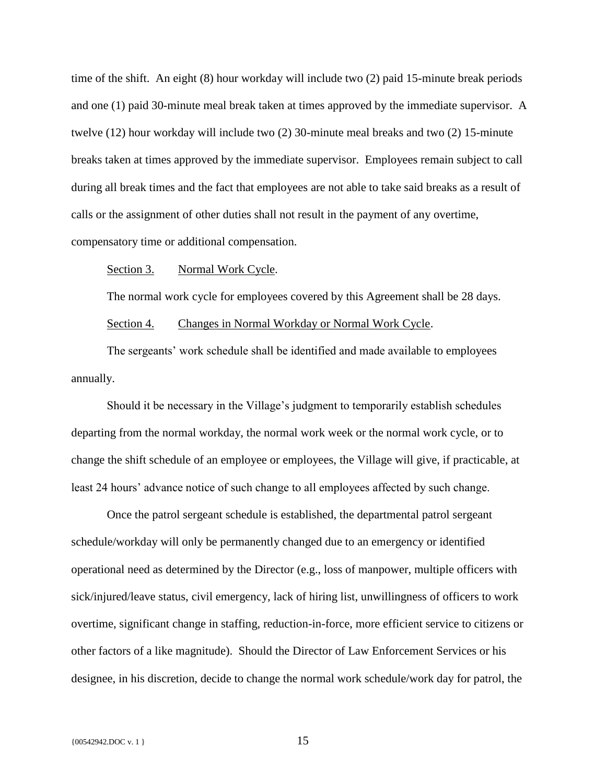time of the shift. An eight (8) hour workday will include two (2) paid 15-minute break periods and one (1) paid 30-minute meal break taken at times approved by the immediate supervisor. A twelve (12) hour workday will include two (2) 30-minute meal breaks and two (2) 15-minute breaks taken at times approved by the immediate supervisor. Employees remain subject to call during all break times and the fact that employees are not able to take said breaks as a result of calls or the assignment of other duties shall not result in the payment of any overtime, compensatory time or additional compensation.

#### <span id="page-18-0"></span>Section 3. Normal Work Cycle.

The normal work cycle for employees covered by this Agreement shall be 28 days.

#### Section 4. Changes in Normal Workday or Normal Work Cycle.

<span id="page-18-1"></span>The sergeants' work schedule shall be identified and made available to employees annually.

Should it be necessary in the Village's judgment to temporarily establish schedules departing from the normal workday, the normal work week or the normal work cycle, or to change the shift schedule of an employee or employees, the Village will give, if practicable, at least 24 hours' advance notice of such change to all employees affected by such change.

Once the patrol sergeant schedule is established, the departmental patrol sergeant schedule/workday will only be permanently changed due to an emergency or identified operational need as determined by the Director (e.g., loss of manpower, multiple officers with sick/injured/leave status, civil emergency, lack of hiring list, unwillingness of officers to work overtime, significant change in staffing, reduction-in-force, more efficient service to citizens or other factors of a like magnitude). Should the Director of Law Enforcement Services or his designee, in his discretion, decide to change the normal work schedule/work day for patrol, the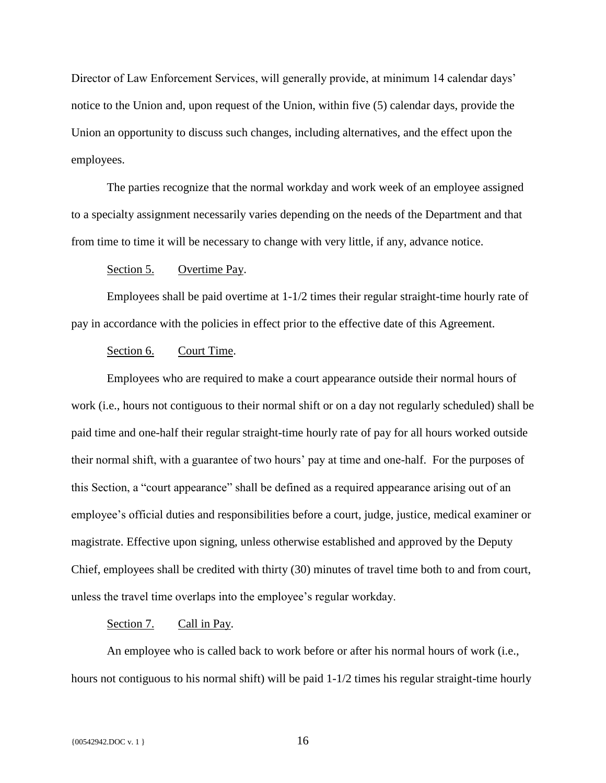Director of Law Enforcement Services, will generally provide, at minimum 14 calendar days' notice to the Union and, upon request of the Union, within five (5) calendar days, provide the Union an opportunity to discuss such changes, including alternatives, and the effect upon the employees.

The parties recognize that the normal workday and work week of an employee assigned to a specialty assignment necessarily varies depending on the needs of the Department and that from time to time it will be necessary to change with very little, if any, advance notice.

#### Section 5. Overtime Pay.

<span id="page-19-0"></span>Employees shall be paid overtime at 1-1/2 times their regular straight-time hourly rate of pay in accordance with the policies in effect prior to the effective date of this Agreement.

#### Section 6. Court Time.

<span id="page-19-1"></span>Employees who are required to make a court appearance outside their normal hours of work (i.e., hours not contiguous to their normal shift or on a day not regularly scheduled) shall be paid time and one-half their regular straight-time hourly rate of pay for all hours worked outside their normal shift, with a guarantee of two hours' pay at time and one-half. For the purposes of this Section, a "court appearance" shall be defined as a required appearance arising out of an employee's official duties and responsibilities before a court, judge, justice, medical examiner or magistrate. Effective upon signing, unless otherwise established and approved by the Deputy Chief, employees shall be credited with thirty (30) minutes of travel time both to and from court, unless the travel time overlaps into the employee's regular workday.

#### Section 7. Call in Pay.

<span id="page-19-2"></span>An employee who is called back to work before or after his normal hours of work (i.e., hours not contiguous to his normal shift) will be paid 1-1/2 times his regular straight-time hourly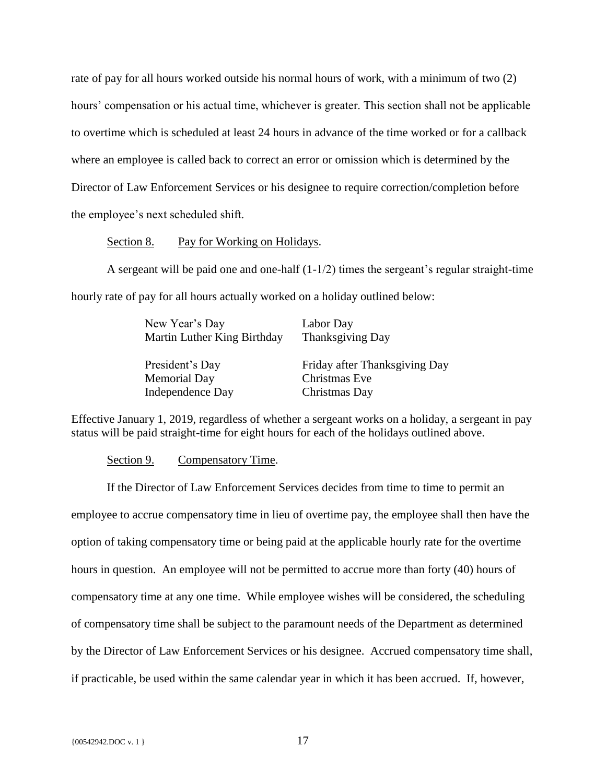rate of pay for all hours worked outside his normal hours of work, with a minimum of two (2) hours' compensation or his actual time, whichever is greater. This section shall not be applicable to overtime which is scheduled at least 24 hours in advance of the time worked or for a callback where an employee is called back to correct an error or omission which is determined by the Director of Law Enforcement Services or his designee to require correction/completion before the employee's next scheduled shift.

#### Section 8. Pay for Working on Holidays.

<span id="page-20-0"></span>A sergeant will be paid one and one-half (1-1/2) times the sergeant's regular straight-time hourly rate of pay for all hours actually worked on a holiday outlined below:

| New Year's Day<br>Martin Luther King Birthday | Labor Day<br>Thanksgiving Day |
|-----------------------------------------------|-------------------------------|
| President's Day                               | Friday after Thanksgiving Day |
| <b>Memorial Day</b>                           | Christmas Eve                 |
| Independence Day                              | Christmas Day                 |

Effective January 1, 2019, regardless of whether a sergeant works on a holiday, a sergeant in pay status will be paid straight-time for eight hours for each of the holidays outlined above.

### Section 9. Compensatory Time.

<span id="page-20-1"></span>If the Director of Law Enforcement Services decides from time to time to permit an employee to accrue compensatory time in lieu of overtime pay, the employee shall then have the option of taking compensatory time or being paid at the applicable hourly rate for the overtime hours in question. An employee will not be permitted to accrue more than forty (40) hours of compensatory time at any one time. While employee wishes will be considered, the scheduling of compensatory time shall be subject to the paramount needs of the Department as determined by the Director of Law Enforcement Services or his designee. Accrued compensatory time shall, if practicable, be used within the same calendar year in which it has been accrued. If, however,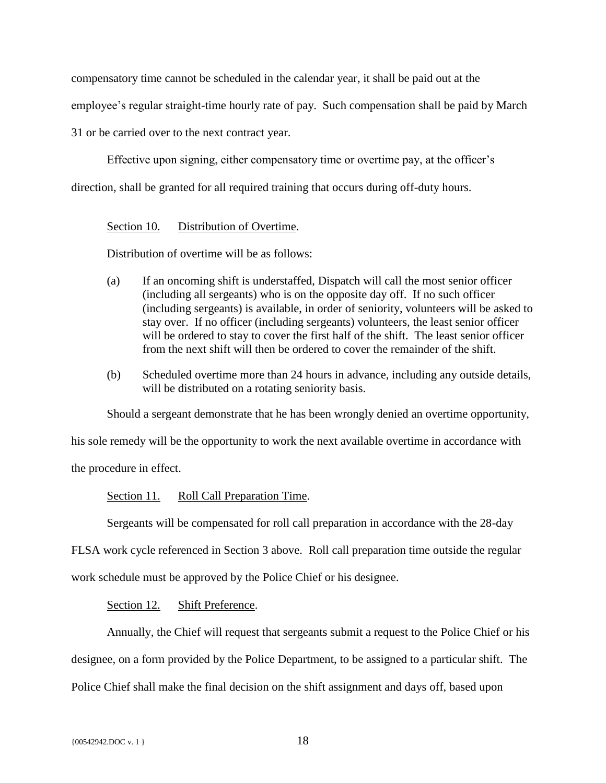compensatory time cannot be scheduled in the calendar year, it shall be paid out at the

employee's regular straight-time hourly rate of pay. Such compensation shall be paid by March

31 or be carried over to the next contract year.

Effective upon signing, either compensatory time or overtime pay, at the officer's

<span id="page-21-0"></span>direction, shall be granted for all required training that occurs during off-duty hours.

# Section 10. Distribution of Overtime.

Distribution of overtime will be as follows:

- (a) If an oncoming shift is understaffed, Dispatch will call the most senior officer (including all sergeants) who is on the opposite day off. If no such officer (including sergeants) is available, in order of seniority, volunteers will be asked to stay over. If no officer (including sergeants) volunteers, the least senior officer will be ordered to stay to cover the first half of the shift. The least senior officer from the next shift will then be ordered to cover the remainder of the shift.
- (b) Scheduled overtime more than 24 hours in advance, including any outside details, will be distributed on a rotating seniority basis.

Should a sergeant demonstrate that he has been wrongly denied an overtime opportunity,

his sole remedy will be the opportunity to work the next available overtime in accordance with

<span id="page-21-1"></span>the procedure in effect.

# Section 11. Roll Call Preparation Time.

Sergeants will be compensated for roll call preparation in accordance with the 28-day

FLSA work cycle referenced in Section 3 above. Roll call preparation time outside the regular

<span id="page-21-2"></span>work schedule must be approved by the Police Chief or his designee.

## Section 12. Shift Preference.

Annually, the Chief will request that sergeants submit a request to the Police Chief or his designee, on a form provided by the Police Department, to be assigned to a particular shift. The Police Chief shall make the final decision on the shift assignment and days off, based upon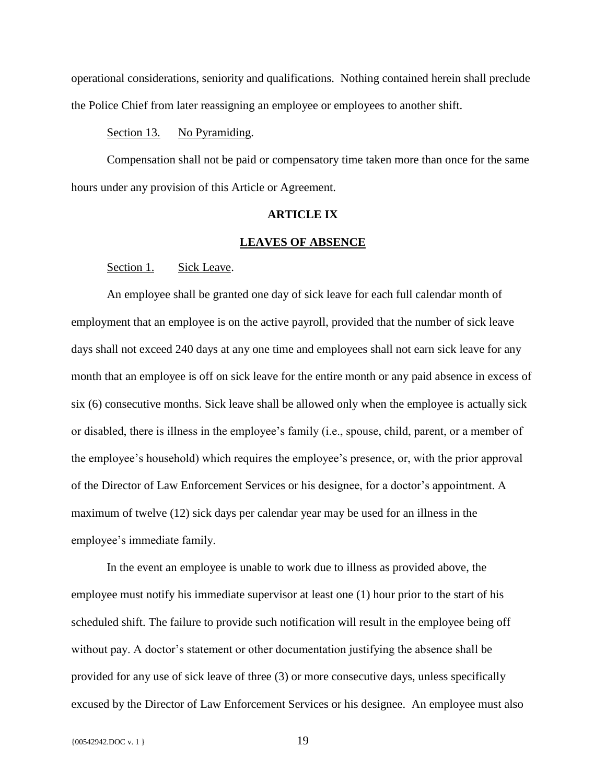operational considerations, seniority and qualifications. Nothing contained herein shall preclude the Police Chief from later reassigning an employee or employees to another shift.

### Section 13. No Pyramiding.

<span id="page-22-0"></span>Compensation shall not be paid or compensatory time taken more than once for the same hours under any provision of this Article or Agreement.

#### **ARTICLE IX**

#### **LEAVES OF ABSENCE**

#### <span id="page-22-1"></span>Section 1. Sick Leave.

<span id="page-22-2"></span>An employee shall be granted one day of sick leave for each full calendar month of employment that an employee is on the active payroll, provided that the number of sick leave days shall not exceed 240 days at any one time and employees shall not earn sick leave for any month that an employee is off on sick leave for the entire month or any paid absence in excess of six (6) consecutive months. Sick leave shall be allowed only when the employee is actually sick or disabled, there is illness in the employee's family (i.e., spouse, child, parent, or a member of the employee's household) which requires the employee's presence, or, with the prior approval of the Director of Law Enforcement Services or his designee, for a doctor's appointment. A maximum of twelve (12) sick days per calendar year may be used for an illness in the employee's immediate family.

In the event an employee is unable to work due to illness as provided above, the employee must notify his immediate supervisor at least one (1) hour prior to the start of his scheduled shift. The failure to provide such notification will result in the employee being off without pay. A doctor's statement or other documentation justifying the absence shall be provided for any use of sick leave of three (3) or more consecutive days, unless specifically excused by the Director of Law Enforcement Services or his designee. An employee must also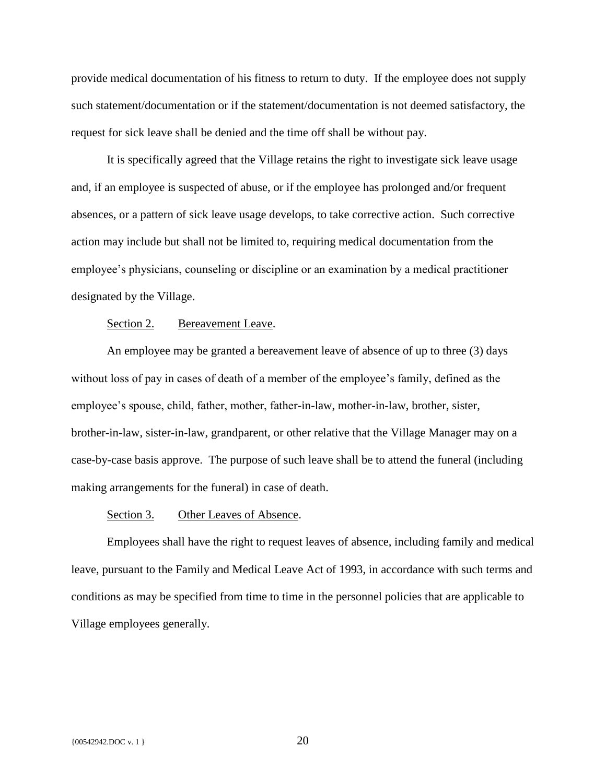provide medical documentation of his fitness to return to duty. If the employee does not supply such statement/documentation or if the statement/documentation is not deemed satisfactory, the request for sick leave shall be denied and the time off shall be without pay.

It is specifically agreed that the Village retains the right to investigate sick leave usage and, if an employee is suspected of abuse, or if the employee has prolonged and/or frequent absences, or a pattern of sick leave usage develops, to take corrective action. Such corrective action may include but shall not be limited to, requiring medical documentation from the employee's physicians, counseling or discipline or an examination by a medical practitioner designated by the Village.

## Section 2. Bereavement Leave.

<span id="page-23-0"></span>An employee may be granted a bereavement leave of absence of up to three (3) days without loss of pay in cases of death of a member of the employee's family, defined as the employee's spouse, child, father, mother, father-in-law, mother-in-law, brother, sister, brother-in-law, sister-in-law, grandparent, or other relative that the Village Manager may on a case-by-case basis approve. The purpose of such leave shall be to attend the funeral (including making arrangements for the funeral) in case of death.

#### Section 3. Other Leaves of Absence.

<span id="page-23-1"></span>Employees shall have the right to request leaves of absence, including family and medical leave, pursuant to the Family and Medical Leave Act of 1993, in accordance with such terms and conditions as may be specified from time to time in the personnel policies that are applicable to Village employees generally.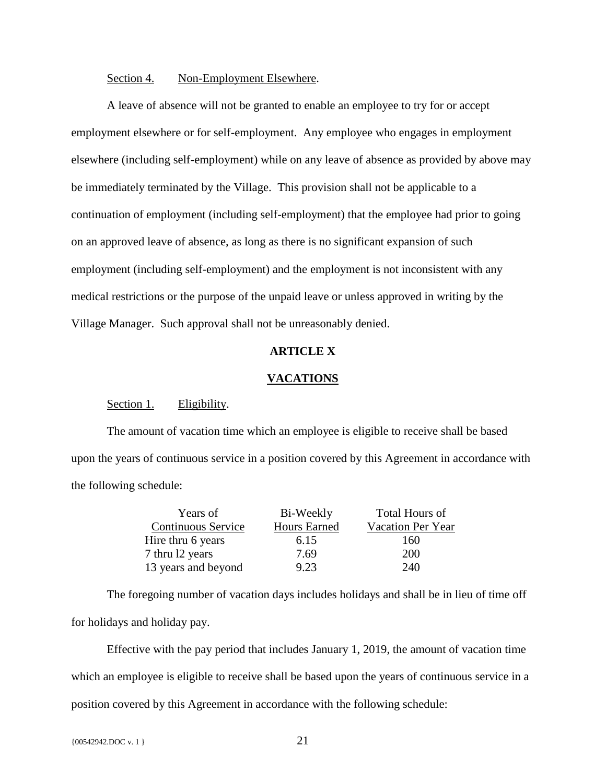### Section 4. Non-Employment Elsewhere.

<span id="page-24-0"></span>A leave of absence will not be granted to enable an employee to try for or accept employment elsewhere or for self-employment. Any employee who engages in employment elsewhere (including self-employment) while on any leave of absence as provided by above may be immediately terminated by the Village. This provision shall not be applicable to a continuation of employment (including self-employment) that the employee had prior to going on an approved leave of absence, as long as there is no significant expansion of such employment (including self-employment) and the employment is not inconsistent with any medical restrictions or the purpose of the unpaid leave or unless approved in writing by the Village Manager. Such approval shall not be unreasonably denied.

### **ARTICLE X**

#### **VACATIONS**

#### <span id="page-24-1"></span>Section 1. Eligibility.

<span id="page-24-2"></span>The amount of vacation time which an employee is eligible to receive shall be based upon the years of continuous service in a position covered by this Agreement in accordance with the following schedule:

| Years of            | Bi-Weekly    | Total Hours of    |
|---------------------|--------------|-------------------|
| Continuous Service  | Hours Earned | Vacation Per Year |
| Hire thru 6 years   | 6.15         | 160               |
| 7 thru 12 years     | 7.69         | 200               |
| 13 years and beyond | 9.23         | 240               |

The foregoing number of vacation days includes holidays and shall be in lieu of time off for holidays and holiday pay.

Effective with the pay period that includes January 1, 2019, the amount of vacation time which an employee is eligible to receive shall be based upon the years of continuous service in a position covered by this Agreement in accordance with the following schedule: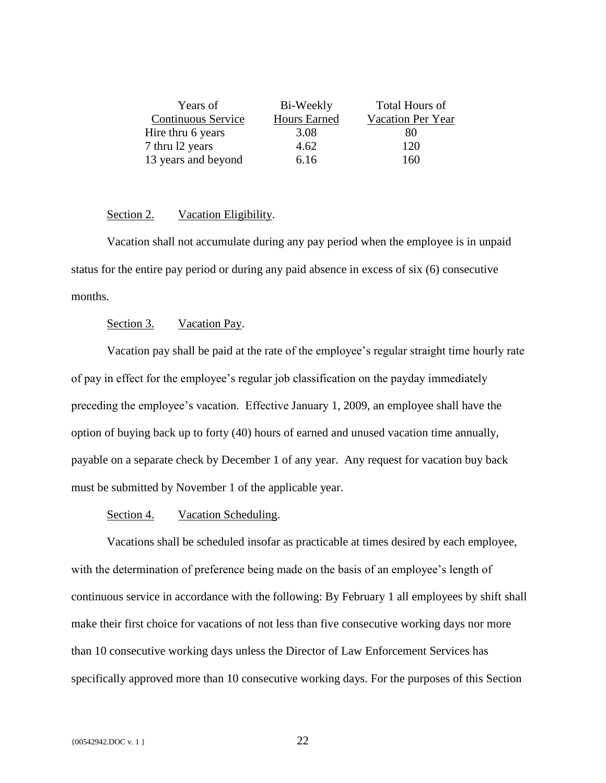| Years of            | Bi-Weekly    | <b>Total Hours of</b>    |
|---------------------|--------------|--------------------------|
| Continuous Service  | Hours Earned | <b>Vacation Per Year</b> |
| Hire thru 6 years   | 3.08         | 80                       |
| 7 thru 12 years     | 4.62         | 120                      |
| 13 years and beyond | 6.16         | 160                      |

### Section 2. Vacation Eligibility.

<span id="page-25-0"></span>Vacation shall not accumulate during any pay period when the employee is in unpaid status for the entire pay period or during any paid absence in excess of six (6) consecutive months.

## Section 3. Vacation Pay.

<span id="page-25-1"></span>Vacation pay shall be paid at the rate of the employee's regular straight time hourly rate of pay in effect for the employee's regular job classification on the payday immediately preceding the employee's vacation. Effective January 1, 2009, an employee shall have the option of buying back up to forty (40) hours of earned and unused vacation time annually, payable on a separate check by December 1 of any year. Any request for vacation buy back must be submitted by November 1 of the applicable year.

#### Section 4. Vacation Scheduling.

<span id="page-25-2"></span>Vacations shall be scheduled insofar as practicable at times desired by each employee, with the determination of preference being made on the basis of an employee's length of continuous service in accordance with the following: By February 1 all employees by shift shall make their first choice for vacations of not less than five consecutive working days nor more than 10 consecutive working days unless the Director of Law Enforcement Services has specifically approved more than 10 consecutive working days. For the purposes of this Section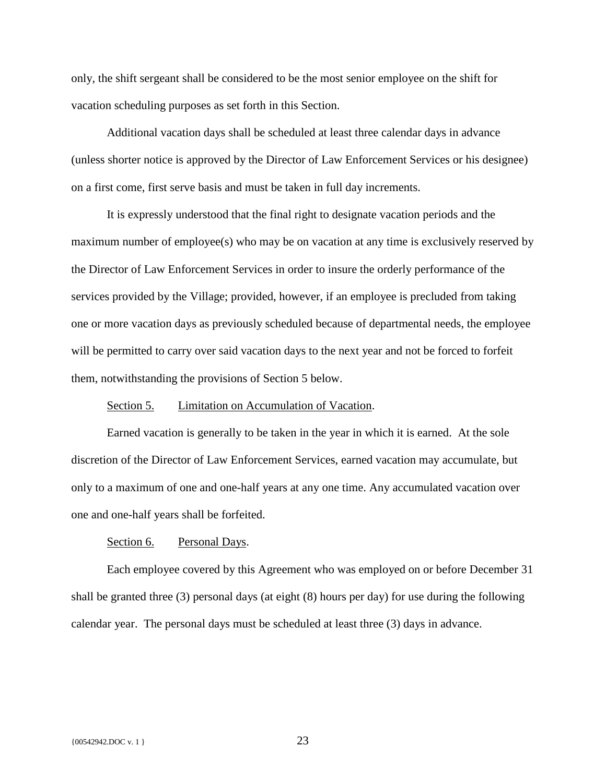only, the shift sergeant shall be considered to be the most senior employee on the shift for vacation scheduling purposes as set forth in this Section.

Additional vacation days shall be scheduled at least three calendar days in advance (unless shorter notice is approved by the Director of Law Enforcement Services or his designee) on a first come, first serve basis and must be taken in full day increments.

It is expressly understood that the final right to designate vacation periods and the maximum number of employee(s) who may be on vacation at any time is exclusively reserved by the Director of Law Enforcement Services in order to insure the orderly performance of the services provided by the Village; provided, however, if an employee is precluded from taking one or more vacation days as previously scheduled because of departmental needs, the employee will be permitted to carry over said vacation days to the next year and not be forced to forfeit them, notwithstanding the provisions of Section 5 below.

### Section 5. Limitation on Accumulation of Vacation.

<span id="page-26-0"></span>Earned vacation is generally to be taken in the year in which it is earned. At the sole discretion of the Director of Law Enforcement Services, earned vacation may accumulate, but only to a maximum of one and one-half years at any one time. Any accumulated vacation over one and one-half years shall be forfeited.

#### Section 6. Personal Days.

<span id="page-26-1"></span>Each employee covered by this Agreement who was employed on or before December 31 shall be granted three (3) personal days (at eight (8) hours per day) for use during the following calendar year. The personal days must be scheduled at least three (3) days in advance.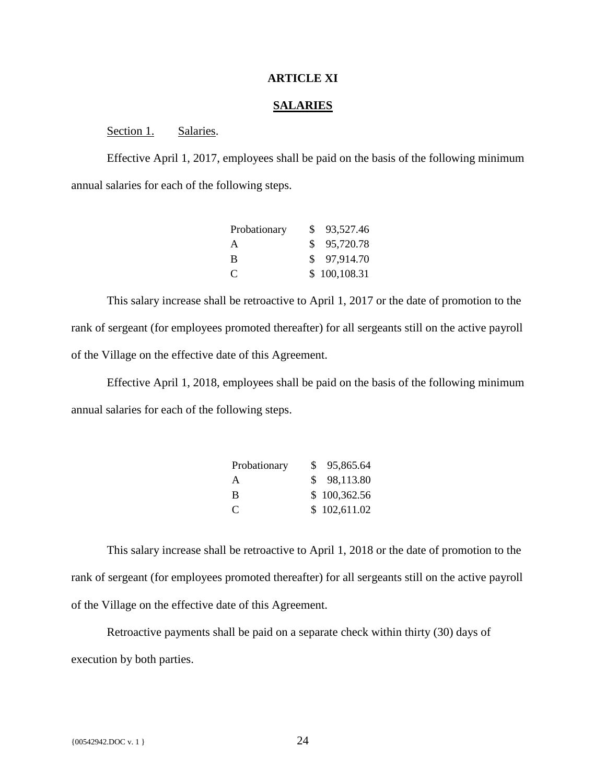# **ARTICLE XI**

## **SALARIES**

# <span id="page-27-0"></span>Section 1. Salaries.

<span id="page-27-1"></span>Effective April 1, 2017, employees shall be paid on the basis of the following minimum annual salaries for each of the following steps.

| Probationary | \$93,527.46  |
|--------------|--------------|
| A            | \$95,720.78  |
| B            | \$97,914.70  |
| C            | \$100,108.31 |

This salary increase shall be retroactive to April 1, 2017 or the date of promotion to the rank of sergeant (for employees promoted thereafter) for all sergeants still on the active payroll of the Village on the effective date of this Agreement.

Effective April 1, 2018, employees shall be paid on the basis of the following minimum annual salaries for each of the following steps.

| Probationary  | \$95,865.64  |
|---------------|--------------|
| A             | \$98,113.80  |
| -B            | \$100,362.56 |
| $\mathcal{C}$ | \$102,611.02 |

This salary increase shall be retroactive to April 1, 2018 or the date of promotion to the rank of sergeant (for employees promoted thereafter) for all sergeants still on the active payroll of the Village on the effective date of this Agreement.

Retroactive payments shall be paid on a separate check within thirty (30) days of execution by both parties.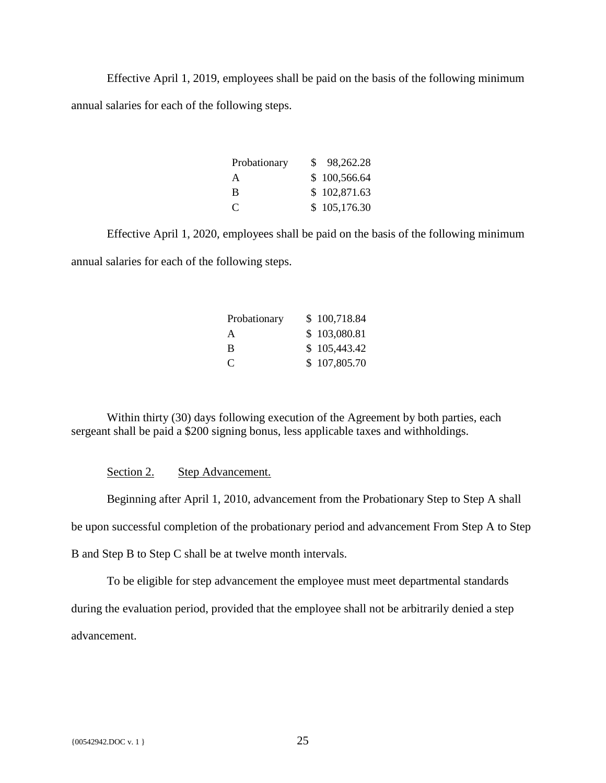Effective April 1, 2019, employees shall be paid on the basis of the following minimum annual salaries for each of the following steps.

| Probationary | \$98,262.28  |  |
|--------------|--------------|--|
| A            | \$100,566.64 |  |
| B            | \$102,871.63 |  |
| C            | \$105,176.30 |  |

Effective April 1, 2020, employees shall be paid on the basis of the following minimum annual salaries for each of the following steps.

| Probationary  | \$100,718.84 |
|---------------|--------------|
| A             | \$103,080.81 |
| B             | \$105,443.42 |
| $\mathcal{C}$ | \$107,805.70 |

Within thirty (30) days following execution of the Agreement by both parties, each sergeant shall be paid a \$200 signing bonus, less applicable taxes and withholdings.

### Section 2. Step Advancement.

<span id="page-28-0"></span>Beginning after April 1, 2010, advancement from the Probationary Step to Step A shall be upon successful completion of the probationary period and advancement From Step A to Step B and Step B to Step C shall be at twelve month intervals.

To be eligible for step advancement the employee must meet departmental standards during the evaluation period, provided that the employee shall not be arbitrarily denied a step advancement.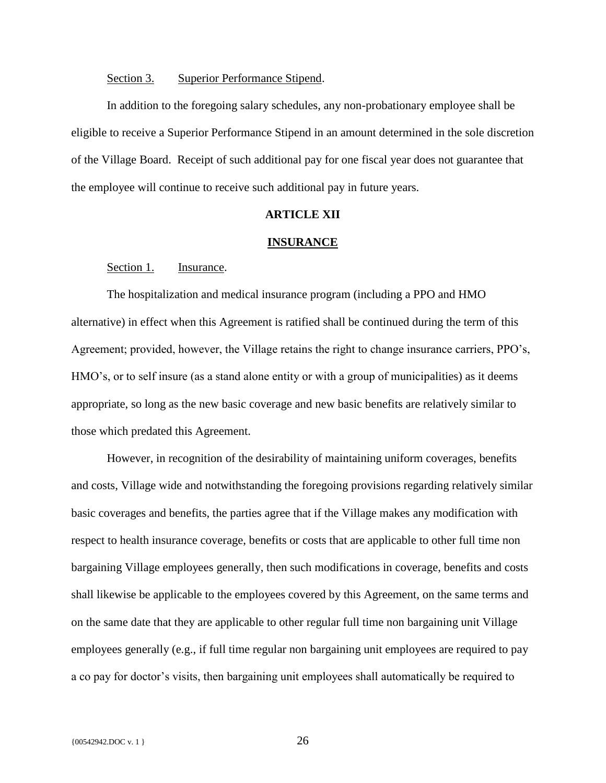Section 3. Superior Performance Stipend.

<span id="page-29-0"></span>In addition to the foregoing salary schedules, any non-probationary employee shall be eligible to receive a Superior Performance Stipend in an amount determined in the sole discretion of the Village Board. Receipt of such additional pay for one fiscal year does not guarantee that the employee will continue to receive such additional pay in future years.

### **ARTICLE XII**

#### **INSURANCE**

#### <span id="page-29-1"></span>Section 1. Insurance.

<span id="page-29-2"></span>The hospitalization and medical insurance program (including a PPO and HMO alternative) in effect when this Agreement is ratified shall be continued during the term of this Agreement; provided, however, the Village retains the right to change insurance carriers, PPO's, HMO's, or to self insure (as a stand alone entity or with a group of municipalities) as it deems appropriate, so long as the new basic coverage and new basic benefits are relatively similar to those which predated this Agreement.

However, in recognition of the desirability of maintaining uniform coverages, benefits and costs, Village wide and notwithstanding the foregoing provisions regarding relatively similar basic coverages and benefits, the parties agree that if the Village makes any modification with respect to health insurance coverage, benefits or costs that are applicable to other full time non bargaining Village employees generally, then such modifications in coverage, benefits and costs shall likewise be applicable to the employees covered by this Agreement, on the same terms and on the same date that they are applicable to other regular full time non bargaining unit Village employees generally (e.g., if full time regular non bargaining unit employees are required to pay a co pay for doctor's visits, then bargaining unit employees shall automatically be required to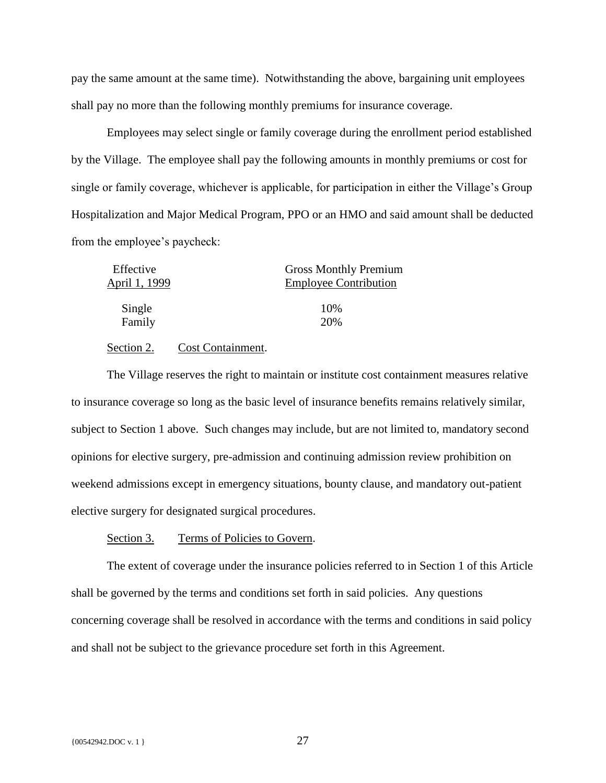pay the same amount at the same time). Notwithstanding the above, bargaining unit employees shall pay no more than the following monthly premiums for insurance coverage.

Employees may select single or family coverage during the enrollment period established by the Village. The employee shall pay the following amounts in monthly premiums or cost for single or family coverage, whichever is applicable, for participation in either the Village's Group Hospitalization and Major Medical Program, PPO or an HMO and said amount shall be deducted from the employee's paycheck:

| Effective     | <b>Gross Monthly Premium</b> |
|---------------|------------------------------|
| April 1, 1999 | <b>Employee Contribution</b> |
|               |                              |
| Single        | 10%                          |
| Family        | 20%                          |
|               |                              |

# Section 2. Cost Containment.

<span id="page-30-0"></span>The Village reserves the right to maintain or institute cost containment measures relative to insurance coverage so long as the basic level of insurance benefits remains relatively similar, subject to Section 1 above. Such changes may include, but are not limited to, mandatory second opinions for elective surgery, pre-admission and continuing admission review prohibition on weekend admissions except in emergency situations, bounty clause, and mandatory out-patient elective surgery for designated surgical procedures.

### Section 3. Terms of Policies to Govern.

<span id="page-30-1"></span>The extent of coverage under the insurance policies referred to in Section 1 of this Article shall be governed by the terms and conditions set forth in said policies. Any questions concerning coverage shall be resolved in accordance with the terms and conditions in said policy and shall not be subject to the grievance procedure set forth in this Agreement.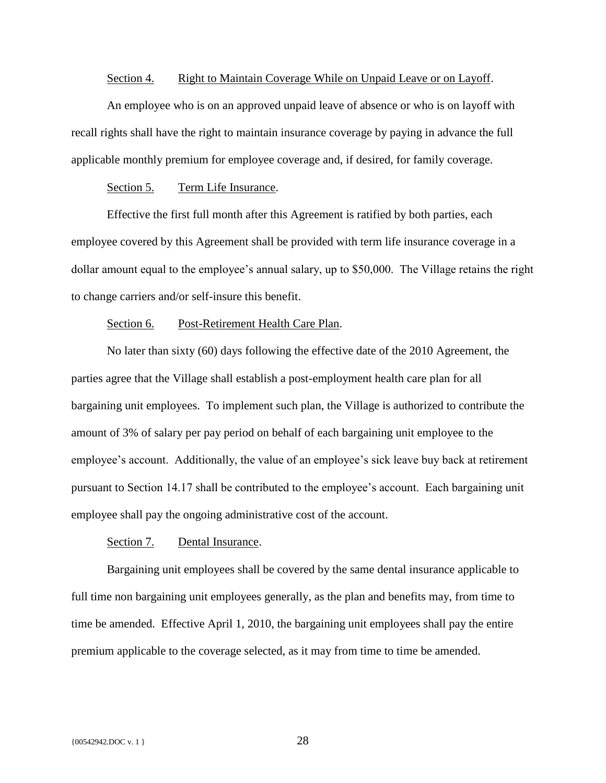### Section 4. Right to Maintain Coverage While on Unpaid Leave or on Layoff.

<span id="page-31-0"></span>An employee who is on an approved unpaid leave of absence or who is on layoff with recall rights shall have the right to maintain insurance coverage by paying in advance the full applicable monthly premium for employee coverage and, if desired, for family coverage.

## Section 5. Term Life Insurance.

<span id="page-31-1"></span>Effective the first full month after this Agreement is ratified by both parties, each employee covered by this Agreement shall be provided with term life insurance coverage in a dollar amount equal to the employee's annual salary, up to \$50,000. The Village retains the right to change carriers and/or self-insure this benefit.

#### Section 6. Post-Retirement Health Care Plan.

<span id="page-31-2"></span>No later than sixty (60) days following the effective date of the 2010 Agreement, the parties agree that the Village shall establish a post-employment health care plan for all bargaining unit employees. To implement such plan, the Village is authorized to contribute the amount of 3% of salary per pay period on behalf of each bargaining unit employee to the employee's account. Additionally, the value of an employee's sick leave buy back at retirement pursuant to Section 14.17 shall be contributed to the employee's account. Each bargaining unit employee shall pay the ongoing administrative cost of the account.

## Section 7. Dental Insurance.

<span id="page-31-3"></span>Bargaining unit employees shall be covered by the same dental insurance applicable to full time non bargaining unit employees generally, as the plan and benefits may, from time to time be amended. Effective April 1, 2010, the bargaining unit employees shall pay the entire premium applicable to the coverage selected, as it may from time to time be amended.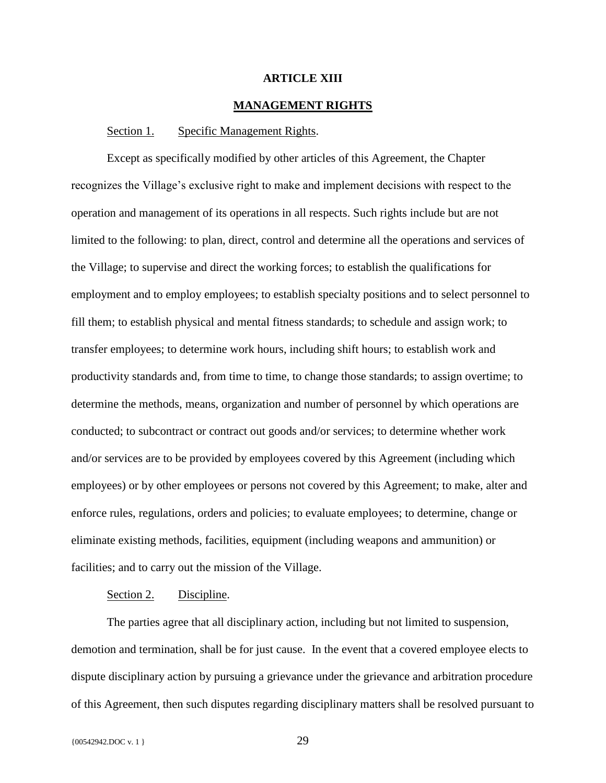## **ARTICLE XIII**

# **MANAGEMENT RIGHTS**

#### <span id="page-32-0"></span>Section 1. Specific Management Rights.

<span id="page-32-1"></span>Except as specifically modified by other articles of this Agreement, the Chapter recognizes the Village's exclusive right to make and implement decisions with respect to the operation and management of its operations in all respects. Such rights include but are not limited to the following: to plan, direct, control and determine all the operations and services of the Village; to supervise and direct the working forces; to establish the qualifications for employment and to employ employees; to establish specialty positions and to select personnel to fill them; to establish physical and mental fitness standards; to schedule and assign work; to transfer employees; to determine work hours, including shift hours; to establish work and productivity standards and, from time to time, to change those standards; to assign overtime; to determine the methods, means, organization and number of personnel by which operations are conducted; to subcontract or contract out goods and/or services; to determine whether work and/or services are to be provided by employees covered by this Agreement (including which employees) or by other employees or persons not covered by this Agreement; to make, alter and enforce rules, regulations, orders and policies; to evaluate employees; to determine, change or eliminate existing methods, facilities, equipment (including weapons and ammunition) or facilities; and to carry out the mission of the Village.

### Section 2. Discipline.

<span id="page-32-2"></span>The parties agree that all disciplinary action, including but not limited to suspension, demotion and termination, shall be for just cause. In the event that a covered employee elects to dispute disciplinary action by pursuing a grievance under the grievance and arbitration procedure of this Agreement, then such disputes regarding disciplinary matters shall be resolved pursuant to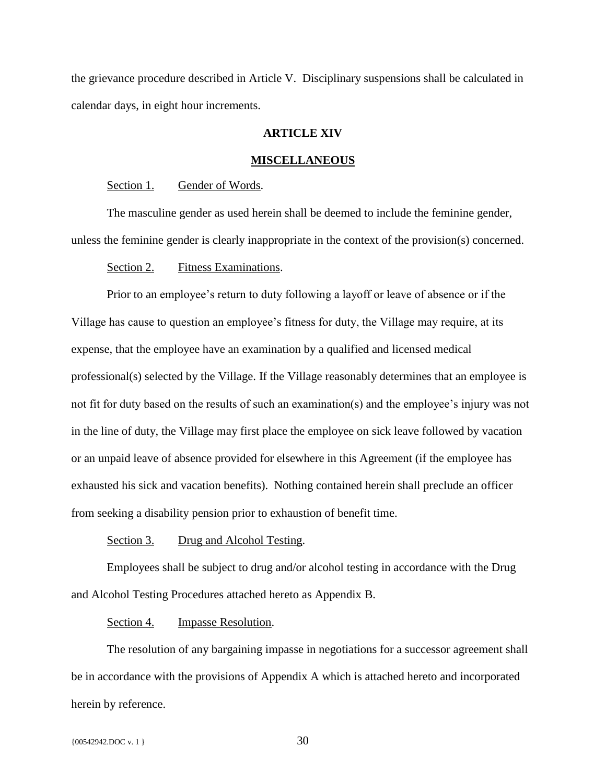the grievance procedure described in Article V. Disciplinary suspensions shall be calculated in calendar days, in eight hour increments.

### **ARTICLE XIV**

#### **MISCELLANEOUS**

<span id="page-33-0"></span>Section 1. Gender of Words.

<span id="page-33-1"></span>The masculine gender as used herein shall be deemed to include the feminine gender, unless the feminine gender is clearly inappropriate in the context of the provision(s) concerned.

Section 2. Fitness Examinations.

<span id="page-33-2"></span>Prior to an employee's return to duty following a layoff or leave of absence or if the Village has cause to question an employee's fitness for duty, the Village may require, at its expense, that the employee have an examination by a qualified and licensed medical professional(s) selected by the Village. If the Village reasonably determines that an employee is not fit for duty based on the results of such an examination(s) and the employee's injury was not in the line of duty, the Village may first place the employee on sick leave followed by vacation or an unpaid leave of absence provided for elsewhere in this Agreement (if the employee has exhausted his sick and vacation benefits). Nothing contained herein shall preclude an officer from seeking a disability pension prior to exhaustion of benefit time.

Section 3. Drug and Alcohol Testing.

<span id="page-33-3"></span>Employees shall be subject to drug and/or alcohol testing in accordance with the Drug and Alcohol Testing Procedures attached hereto as Appendix B.

### Section 4. Impasse Resolution.

<span id="page-33-4"></span>The resolution of any bargaining impasse in negotiations for a successor agreement shall be in accordance with the provisions of Appendix A which is attached hereto and incorporated herein by reference.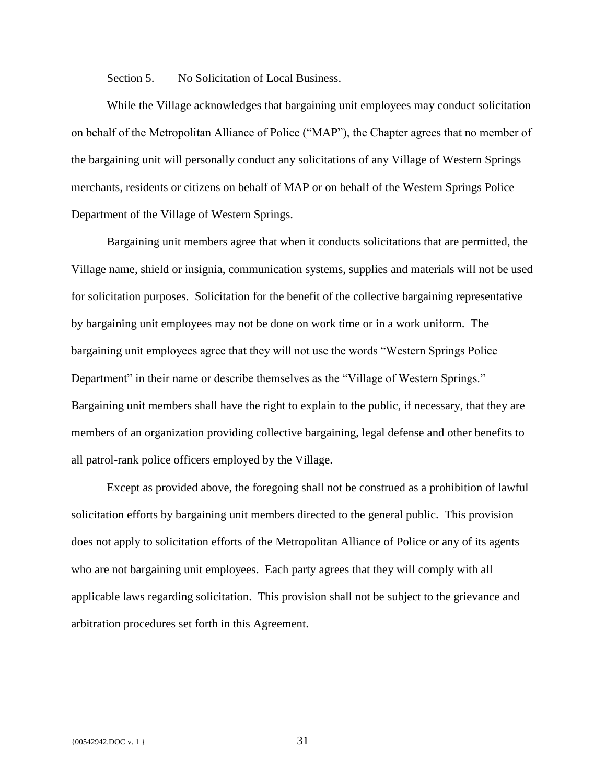### Section 5. No Solicitation of Local Business.

<span id="page-34-0"></span>While the Village acknowledges that bargaining unit employees may conduct solicitation on behalf of the Metropolitan Alliance of Police ("MAP"), the Chapter agrees that no member of the bargaining unit will personally conduct any solicitations of any Village of Western Springs merchants, residents or citizens on behalf of MAP or on behalf of the Western Springs Police Department of the Village of Western Springs.

Bargaining unit members agree that when it conducts solicitations that are permitted, the Village name, shield or insignia, communication systems, supplies and materials will not be used for solicitation purposes. Solicitation for the benefit of the collective bargaining representative by bargaining unit employees may not be done on work time or in a work uniform. The bargaining unit employees agree that they will not use the words "Western Springs Police Department" in their name or describe themselves as the "Village of Western Springs." Bargaining unit members shall have the right to explain to the public, if necessary, that they are members of an organization providing collective bargaining, legal defense and other benefits to all patrol-rank police officers employed by the Village.

Except as provided above, the foregoing shall not be construed as a prohibition of lawful solicitation efforts by bargaining unit members directed to the general public. This provision does not apply to solicitation efforts of the Metropolitan Alliance of Police or any of its agents who are not bargaining unit employees. Each party agrees that they will comply with all applicable laws regarding solicitation. This provision shall not be subject to the grievance and arbitration procedures set forth in this Agreement.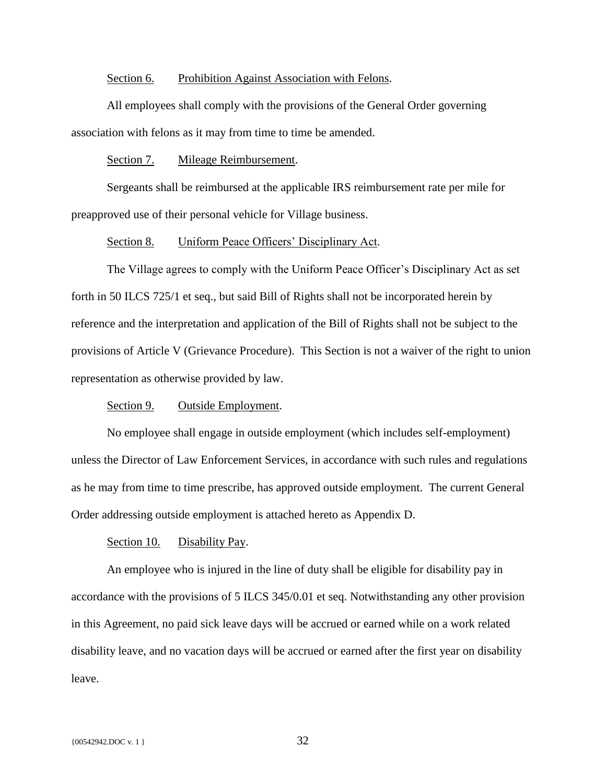### Section 6. Prohibition Against Association with Felons.

<span id="page-35-0"></span>All employees shall comply with the provisions of the General Order governing association with felons as it may from time to time be amended.

Section 7. Mileage Reimbursement.

<span id="page-35-1"></span>Sergeants shall be reimbursed at the applicable IRS reimbursement rate per mile for preapproved use of their personal vehicle for Village business.

### Section 8. Uniform Peace Officers' Disciplinary Act.

<span id="page-35-2"></span>The Village agrees to comply with the Uniform Peace Officer's Disciplinary Act as set forth in 50 ILCS 725/1 et seq., but said Bill of Rights shall not be incorporated herein by reference and the interpretation and application of the Bill of Rights shall not be subject to the provisions of Article V (Grievance Procedure). This Section is not a waiver of the right to union representation as otherwise provided by law.

### Section 9. Outside Employment.

<span id="page-35-3"></span>No employee shall engage in outside employment (which includes self-employment) unless the Director of Law Enforcement Services, in accordance with such rules and regulations as he may from time to time prescribe, has approved outside employment. The current General Order addressing outside employment is attached hereto as Appendix D.

#### Section 10. Disability Pay.

<span id="page-35-4"></span>An employee who is injured in the line of duty shall be eligible for disability pay in accordance with the provisions of 5 ILCS 345/0.01 et seq. Notwithstanding any other provision in this Agreement, no paid sick leave days will be accrued or earned while on a work related disability leave, and no vacation days will be accrued or earned after the first year on disability leave.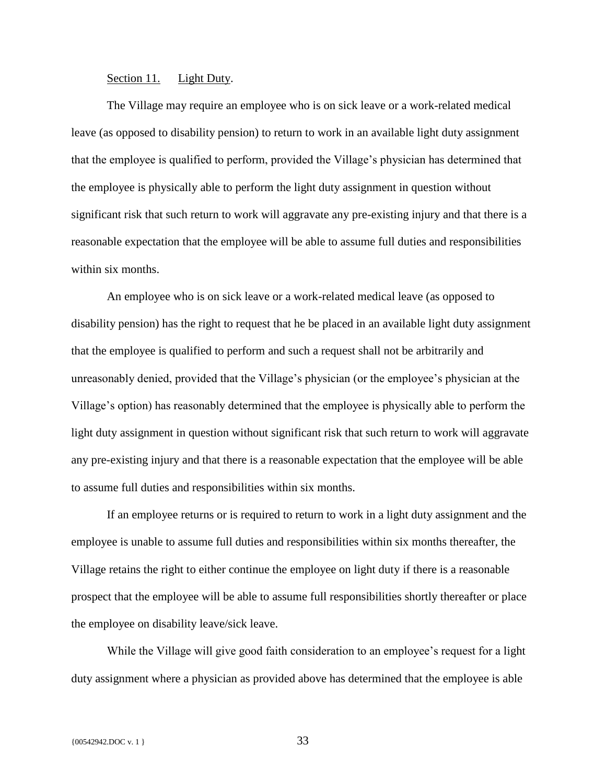## Section 11. Light Duty.

<span id="page-36-0"></span>The Village may require an employee who is on sick leave or a work-related medical leave (as opposed to disability pension) to return to work in an available light duty assignment that the employee is qualified to perform, provided the Village's physician has determined that the employee is physically able to perform the light duty assignment in question without significant risk that such return to work will aggravate any pre-existing injury and that there is a reasonable expectation that the employee will be able to assume full duties and responsibilities within six months.

An employee who is on sick leave or a work-related medical leave (as opposed to disability pension) has the right to request that he be placed in an available light duty assignment that the employee is qualified to perform and such a request shall not be arbitrarily and unreasonably denied, provided that the Village's physician (or the employee's physician at the Village's option) has reasonably determined that the employee is physically able to perform the light duty assignment in question without significant risk that such return to work will aggravate any pre-existing injury and that there is a reasonable expectation that the employee will be able to assume full duties and responsibilities within six months.

If an employee returns or is required to return to work in a light duty assignment and the employee is unable to assume full duties and responsibilities within six months thereafter, the Village retains the right to either continue the employee on light duty if there is a reasonable prospect that the employee will be able to assume full responsibilities shortly thereafter or place the employee on disability leave/sick leave.

While the Village will give good faith consideration to an employee's request for a light duty assignment where a physician as provided above has determined that the employee is able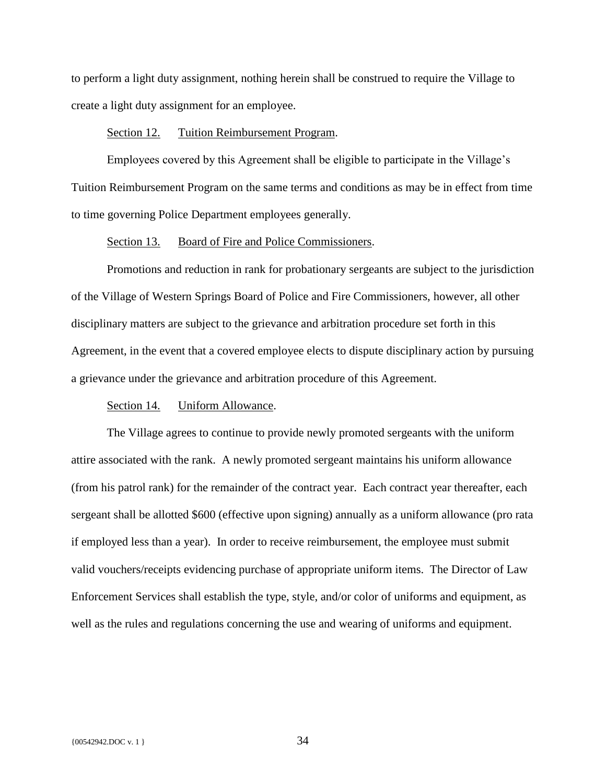to perform a light duty assignment, nothing herein shall be construed to require the Village to create a light duty assignment for an employee.

### Section 12. Tuition Reimbursement Program.

<span id="page-37-0"></span>Employees covered by this Agreement shall be eligible to participate in the Village's Tuition Reimbursement Program on the same terms and conditions as may be in effect from time to time governing Police Department employees generally.

## Section 13. Board of Fire and Police Commissioners.

<span id="page-37-1"></span>Promotions and reduction in rank for probationary sergeants are subject to the jurisdiction of the Village of Western Springs Board of Police and Fire Commissioners, however, all other disciplinary matters are subject to the grievance and arbitration procedure set forth in this Agreement, in the event that a covered employee elects to dispute disciplinary action by pursuing a grievance under the grievance and arbitration procedure of this Agreement.

### Section 14. Uniform Allowance.

<span id="page-37-2"></span>The Village agrees to continue to provide newly promoted sergeants with the uniform attire associated with the rank. A newly promoted sergeant maintains his uniform allowance (from his patrol rank) for the remainder of the contract year. Each contract year thereafter, each sergeant shall be allotted \$600 (effective upon signing) annually as a uniform allowance (pro rata if employed less than a year). In order to receive reimbursement, the employee must submit valid vouchers/receipts evidencing purchase of appropriate uniform items. The Director of Law Enforcement Services shall establish the type, style, and/or color of uniforms and equipment, as well as the rules and regulations concerning the use and wearing of uniforms and equipment.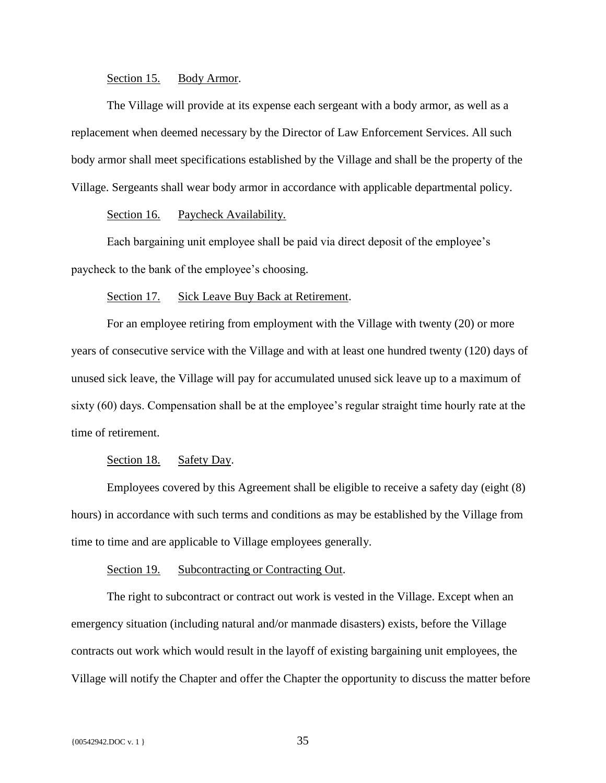## Section 15. Body Armor.

<span id="page-38-0"></span>The Village will provide at its expense each sergeant with a body armor, as well as a replacement when deemed necessary by the Director of Law Enforcement Services. All such body armor shall meet specifications established by the Village and shall be the property of the Village. Sergeants shall wear body armor in accordance with applicable departmental policy.

#### Section 16. Paycheck Availability*.*

<span id="page-38-1"></span>Each bargaining unit employee shall be paid via direct deposit of the employee's paycheck to the bank of the employee's choosing.

#### Section 17. Sick Leave Buy Back at Retirement.

<span id="page-38-2"></span>For an employee retiring from employment with the Village with twenty (20) or more years of consecutive service with the Village and with at least one hundred twenty (120) days of unused sick leave, the Village will pay for accumulated unused sick leave up to a maximum of sixty (60) days. Compensation shall be at the employee's regular straight time hourly rate at the time of retirement.

### Section 18. Safety Day.

<span id="page-38-3"></span>Employees covered by this Agreement shall be eligible to receive a safety day (eight (8) hours) in accordance with such terms and conditions as may be established by the Village from time to time and are applicable to Village employees generally.

#### Section 19. Subcontracting or Contracting Out.

<span id="page-38-4"></span>The right to subcontract or contract out work is vested in the Village. Except when an emergency situation (including natural and/or manmade disasters) exists, before the Village contracts out work which would result in the layoff of existing bargaining unit employees, the Village will notify the Chapter and offer the Chapter the opportunity to discuss the matter before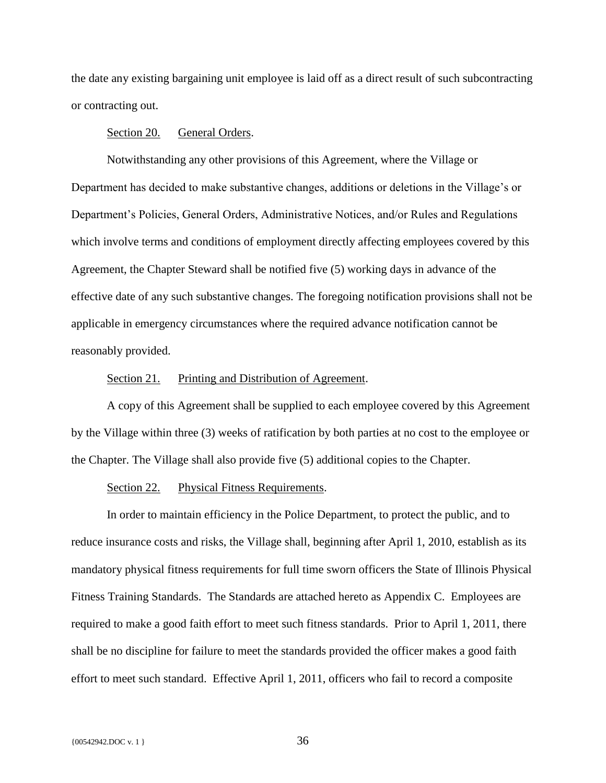the date any existing bargaining unit employee is laid off as a direct result of such subcontracting or contracting out.

#### Section 20. General Orders.

<span id="page-39-0"></span>Notwithstanding any other provisions of this Agreement, where the Village or Department has decided to make substantive changes, additions or deletions in the Village's or Department's Policies, General Orders, Administrative Notices, and/or Rules and Regulations which involve terms and conditions of employment directly affecting employees covered by this Agreement, the Chapter Steward shall be notified five (5) working days in advance of the effective date of any such substantive changes. The foregoing notification provisions shall not be applicable in emergency circumstances where the required advance notification cannot be reasonably provided.

#### Section 21. Printing and Distribution of Agreement.

<span id="page-39-1"></span>A copy of this Agreement shall be supplied to each employee covered by this Agreement by the Village within three (3) weeks of ratification by both parties at no cost to the employee or the Chapter. The Village shall also provide five (5) additional copies to the Chapter.

#### Section 22. Physical Fitness Requirements.

<span id="page-39-2"></span>In order to maintain efficiency in the Police Department, to protect the public, and to reduce insurance costs and risks, the Village shall, beginning after April 1, 2010, establish as its mandatory physical fitness requirements for full time sworn officers the State of Illinois Physical Fitness Training Standards. The Standards are attached hereto as Appendix C. Employees are required to make a good faith effort to meet such fitness standards. Prior to April 1, 2011, there shall be no discipline for failure to meet the standards provided the officer makes a good faith effort to meet such standard. Effective April 1, 2011, officers who fail to record a composite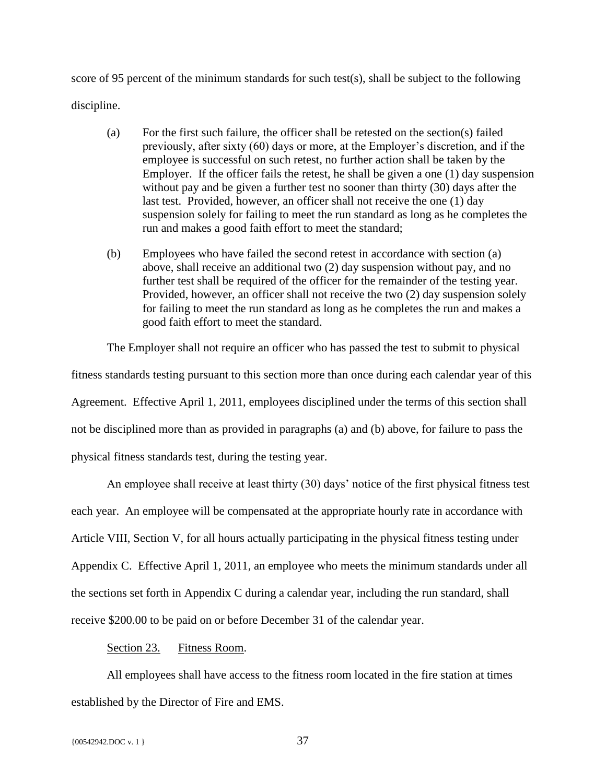score of 95 percent of the minimum standards for such test(s), shall be subject to the following discipline.

- (a) For the first such failure, the officer shall be retested on the section(s) failed previously, after sixty (60) days or more, at the Employer's discretion, and if the employee is successful on such retest, no further action shall be taken by the Employer. If the officer fails the retest, he shall be given a one (1) day suspension without pay and be given a further test no sooner than thirty (30) days after the last test. Provided, however, an officer shall not receive the one (1) day suspension solely for failing to meet the run standard as long as he completes the run and makes a good faith effort to meet the standard;
- (b) Employees who have failed the second retest in accordance with section (a) above, shall receive an additional two (2) day suspension without pay, and no further test shall be required of the officer for the remainder of the testing year. Provided, however, an officer shall not receive the two (2) day suspension solely for failing to meet the run standard as long as he completes the run and makes a good faith effort to meet the standard.

The Employer shall not require an officer who has passed the test to submit to physical fitness standards testing pursuant to this section more than once during each calendar year of this Agreement. Effective April 1, 2011, employees disciplined under the terms of this section shall not be disciplined more than as provided in paragraphs (a) and (b) above, for failure to pass the physical fitness standards test, during the testing year.

An employee shall receive at least thirty (30) days' notice of the first physical fitness test each year. An employee will be compensated at the appropriate hourly rate in accordance with Article VIII, Section V, for all hours actually participating in the physical fitness testing under Appendix C. Effective April 1, 2011, an employee who meets the minimum standards under all the sections set forth in Appendix C during a calendar year, including the run standard, shall receive \$200.00 to be paid on or before December 31 of the calendar year.

Section 23. Fitness Room.

<span id="page-40-0"></span>All employees shall have access to the fitness room located in the fire station at times established by the Director of Fire and EMS.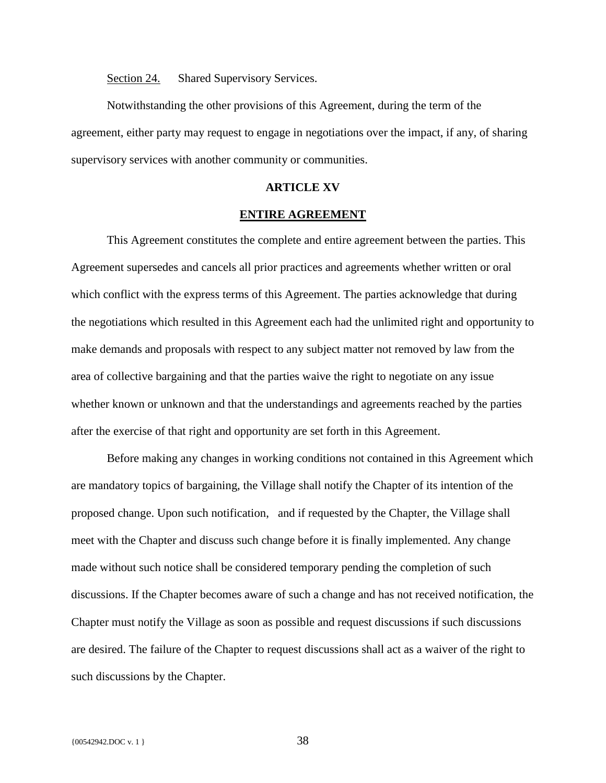Section 24. Shared Supervisory Services.

<span id="page-41-0"></span>Notwithstanding the other provisions of this Agreement, during the term of the agreement, either party may request to engage in negotiations over the impact, if any, of sharing supervisory services with another community or communities.

## **ARTICLE XV**

### **ENTIRE AGREEMENT**

<span id="page-41-1"></span>This Agreement constitutes the complete and entire agreement between the parties. This Agreement supersedes and cancels all prior practices and agreements whether written or oral which conflict with the express terms of this Agreement. The parties acknowledge that during the negotiations which resulted in this Agreement each had the unlimited right and opportunity to make demands and proposals with respect to any subject matter not removed by law from the area of collective bargaining and that the parties waive the right to negotiate on any issue whether known or unknown and that the understandings and agreements reached by the parties after the exercise of that right and opportunity are set forth in this Agreement.

Before making any changes in working conditions not contained in this Agreement which are mandatory topics of bargaining, the Village shall notify the Chapter of its intention of the proposed change. Upon such notification, and if requested by the Chapter, the Village shall meet with the Chapter and discuss such change before it is finally implemented. Any change made without such notice shall be considered temporary pending the completion of such discussions. If the Chapter becomes aware of such a change and has not received notification, the Chapter must notify the Village as soon as possible and request discussions if such discussions are desired. The failure of the Chapter to request discussions shall act as a waiver of the right to such discussions by the Chapter.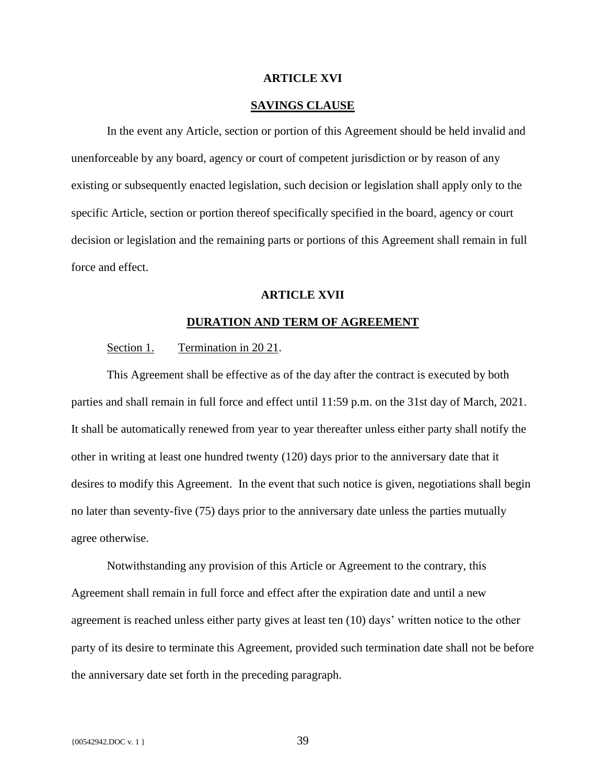#### **ARTICLE XVI**

# **SAVINGS CLAUSE**

<span id="page-42-0"></span>In the event any Article, section or portion of this Agreement should be held invalid and unenforceable by any board, agency or court of competent jurisdiction or by reason of any existing or subsequently enacted legislation, such decision or legislation shall apply only to the specific Article, section or portion thereof specifically specified in the board, agency or court decision or legislation and the remaining parts or portions of this Agreement shall remain in full force and effect.

## **ARTICLE XVII**

## **DURATION AND TERM OF AGREEMENT**

## <span id="page-42-1"></span>Section 1. Termination in 2021.

<span id="page-42-2"></span>This Agreement shall be effective as of the day after the contract is executed by both parties and shall remain in full force and effect until 11:59 p.m. on the 31st day of March, 2021. It shall be automatically renewed from year to year thereafter unless either party shall notify the other in writing at least one hundred twenty (120) days prior to the anniversary date that it desires to modify this Agreement. In the event that such notice is given, negotiations shall begin no later than seventy-five (75) days prior to the anniversary date unless the parties mutually agree otherwise.

Notwithstanding any provision of this Article or Agreement to the contrary, this Agreement shall remain in full force and effect after the expiration date and until a new agreement is reached unless either party gives at least ten (10) days' written notice to the other party of its desire to terminate this Agreement, provided such termination date shall not be before the anniversary date set forth in the preceding paragraph.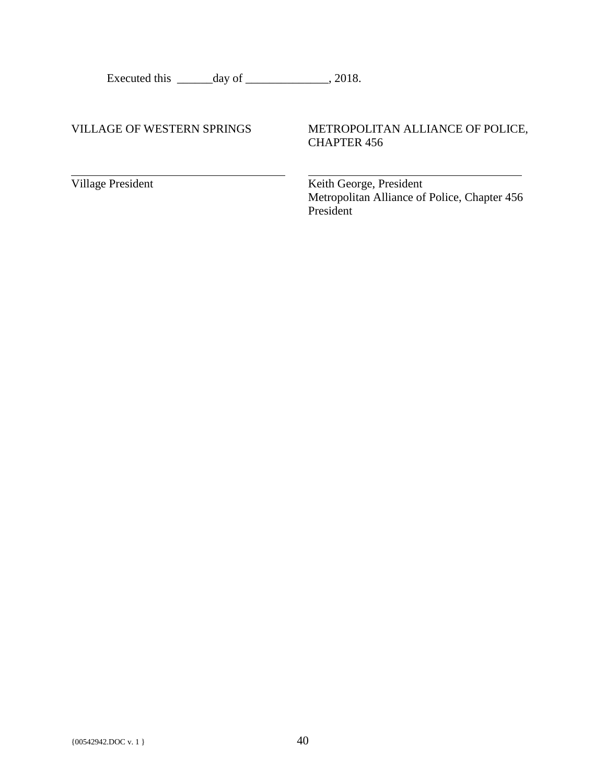| Executed this | day of | . 2018. |
|---------------|--------|---------|
|---------------|--------|---------|

# VILLAGE OF WESTERN SPRINGS

Village President

METROPOLITAN ALLIANCE OF POLICE, CHAPTER 456

Keith George, President Metropolitan Alliance of Police, Chapter 456 President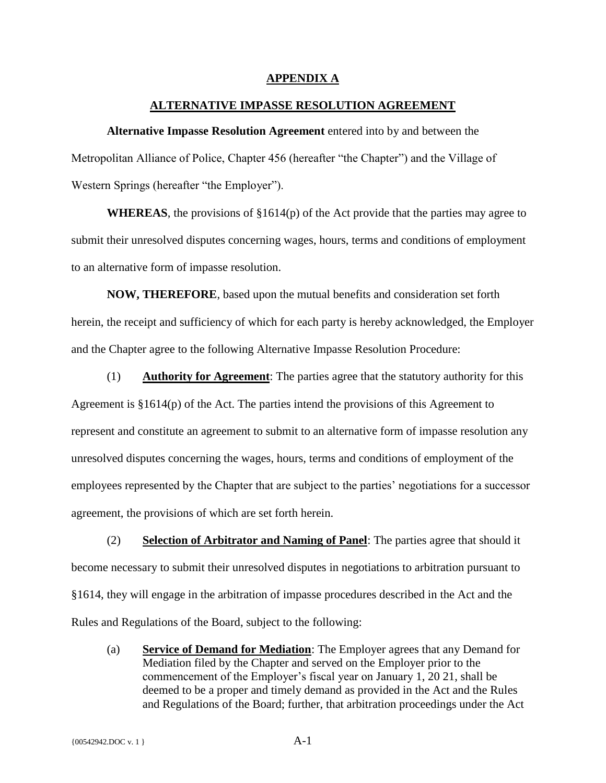#### **APPENDIX A**

## **ALTERNATIVE IMPASSE RESOLUTION AGREEMENT**

<span id="page-44-0"></span>**Alternative Impasse Resolution Agreement** entered into by and between the Metropolitan Alliance of Police, Chapter 456 (hereafter "the Chapter") and the Village of Western Springs (hereafter "the Employer").

**WHEREAS**, the provisions of §1614(p) of the Act provide that the parties may agree to submit their unresolved disputes concerning wages, hours, terms and conditions of employment to an alternative form of impasse resolution.

**NOW, THEREFORE**, based upon the mutual benefits and consideration set forth herein, the receipt and sufficiency of which for each party is hereby acknowledged, the Employer and the Chapter agree to the following Alternative Impasse Resolution Procedure:

(1) **Authority for Agreement**: The parties agree that the statutory authority for this Agreement is §1614(p) of the Act. The parties intend the provisions of this Agreement to represent and constitute an agreement to submit to an alternative form of impasse resolution any unresolved disputes concerning the wages, hours, terms and conditions of employment of the employees represented by the Chapter that are subject to the parties' negotiations for a successor agreement, the provisions of which are set forth herein.

(2) **Selection of Arbitrator and Naming of Panel**: The parties agree that should it become necessary to submit their unresolved disputes in negotiations to arbitration pursuant to §1614, they will engage in the arbitration of impasse procedures described in the Act and the Rules and Regulations of the Board, subject to the following:

(a) **Service of Demand for Mediation**: The Employer agrees that any Demand for Mediation filed by the Chapter and served on the Employer prior to the commencement of the Employer's fiscal year on January 1, 20 21, shall be deemed to be a proper and timely demand as provided in the Act and the Rules and Regulations of the Board; further, that arbitration proceedings under the Act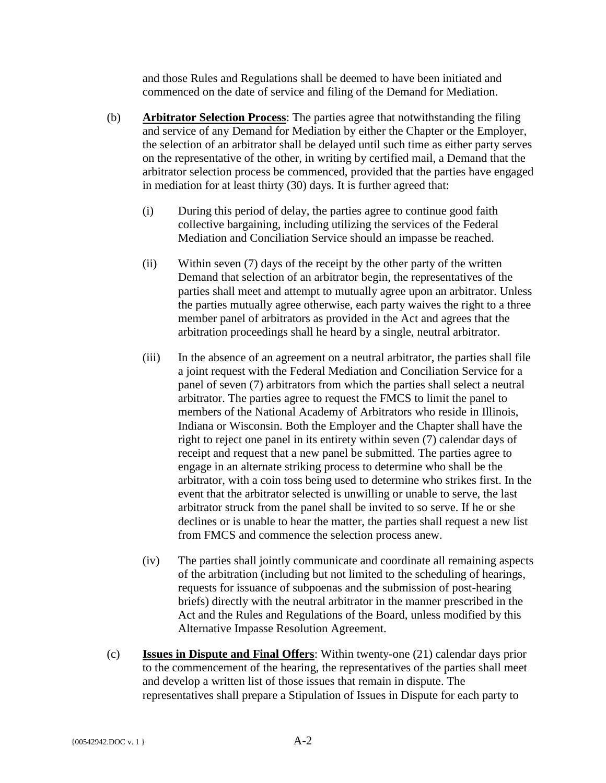and those Rules and Regulations shall be deemed to have been initiated and commenced on the date of service and filing of the Demand for Mediation.

- (b) **Arbitrator Selection Process**: The parties agree that notwithstanding the filing and service of any Demand for Mediation by either the Chapter or the Employer, the selection of an arbitrator shall be delayed until such time as either party serves on the representative of the other, in writing by certified mail, a Demand that the arbitrator selection process be commenced, provided that the parties have engaged in mediation for at least thirty (30) days. It is further agreed that:
	- (i) During this period of delay, the parties agree to continue good faith collective bargaining, including utilizing the services of the Federal Mediation and Conciliation Service should an impasse be reached.
	- (ii) Within seven (7) days of the receipt by the other party of the written Demand that selection of an arbitrator begin, the representatives of the parties shall meet and attempt to mutually agree upon an arbitrator. Unless the parties mutually agree otherwise, each party waives the right to a three member panel of arbitrators as provided in the Act and agrees that the arbitration proceedings shall he heard by a single, neutral arbitrator.
	- (iii) In the absence of an agreement on a neutral arbitrator, the parties shall file a joint request with the Federal Mediation and Conciliation Service for a panel of seven (7) arbitrators from which the parties shall select a neutral arbitrator. The parties agree to request the FMCS to limit the panel to members of the National Academy of Arbitrators who reside in Illinois, Indiana or Wisconsin. Both the Employer and the Chapter shall have the right to reject one panel in its entirety within seven (7) calendar days of receipt and request that a new panel be submitted. The parties agree to engage in an alternate striking process to determine who shall be the arbitrator, with a coin toss being used to determine who strikes first. In the event that the arbitrator selected is unwilling or unable to serve, the last arbitrator struck from the panel shall be invited to so serve. If he or she declines or is unable to hear the matter, the parties shall request a new list from FMCS and commence the selection process anew.
	- (iv) The parties shall jointly communicate and coordinate all remaining aspects of the arbitration (including but not limited to the scheduling of hearings, requests for issuance of subpoenas and the submission of post-hearing briefs) directly with the neutral arbitrator in the manner prescribed in the Act and the Rules and Regulations of the Board, unless modified by this Alternative Impasse Resolution Agreement.
- (c) **Issues in Dispute and Final Offers**: Within twenty-one (21) calendar days prior to the commencement of the hearing, the representatives of the parties shall meet and develop a written list of those issues that remain in dispute. The representatives shall prepare a Stipulation of Issues in Dispute for each party to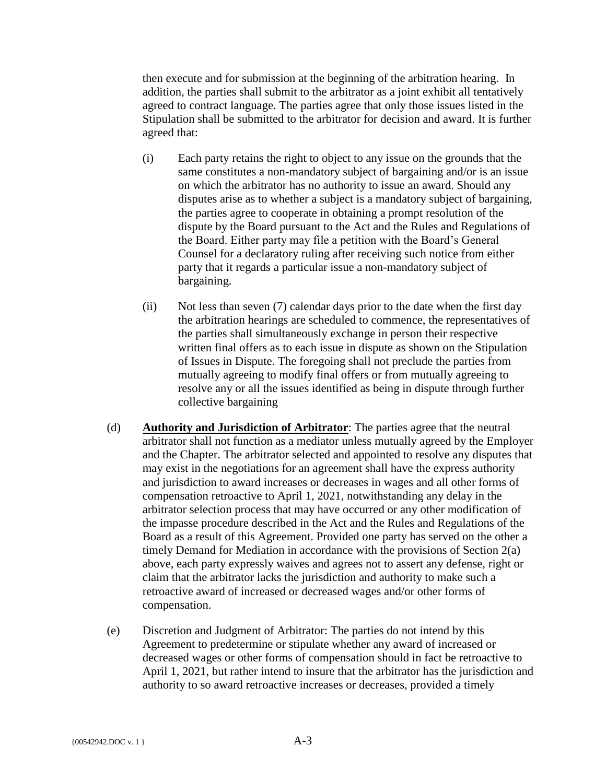then execute and for submission at the beginning of the arbitration hearing. In addition, the parties shall submit to the arbitrator as a joint exhibit all tentatively agreed to contract language. The parties agree that only those issues listed in the Stipulation shall be submitted to the arbitrator for decision and award. It is further agreed that:

- (i) Each party retains the right to object to any issue on the grounds that the same constitutes a non-mandatory subject of bargaining and/or is an issue on which the arbitrator has no authority to issue an award. Should any disputes arise as to whether a subject is a mandatory subject of bargaining, the parties agree to cooperate in obtaining a prompt resolution of the dispute by the Board pursuant to the Act and the Rules and Regulations of the Board. Either party may file a petition with the Board's General Counsel for a declaratory ruling after receiving such notice from either party that it regards a particular issue a non-mandatory subject of bargaining.
- (ii) Not less than seven (7) calendar days prior to the date when the first day the arbitration hearings are scheduled to commence, the representatives of the parties shall simultaneously exchange in person their respective written final offers as to each issue in dispute as shown on the Stipulation of Issues in Dispute. The foregoing shall not preclude the parties from mutually agreeing to modify final offers or from mutually agreeing to resolve any or all the issues identified as being in dispute through further collective bargaining
- (d) **Authority and Jurisdiction of Arbitrator**: The parties agree that the neutral arbitrator shall not function as a mediator unless mutually agreed by the Employer and the Chapter. The arbitrator selected and appointed to resolve any disputes that may exist in the negotiations for an agreement shall have the express authority and jurisdiction to award increases or decreases in wages and all other forms of compensation retroactive to April 1, 2021, notwithstanding any delay in the arbitrator selection process that may have occurred or any other modification of the impasse procedure described in the Act and the Rules and Regulations of the Board as a result of this Agreement. Provided one party has served on the other a timely Demand for Mediation in accordance with the provisions of Section 2(a) above, each party expressly waives and agrees not to assert any defense, right or claim that the arbitrator lacks the jurisdiction and authority to make such a retroactive award of increased or decreased wages and/or other forms of compensation.
- (e) Discretion and Judgment of Arbitrator: The parties do not intend by this Agreement to predetermine or stipulate whether any award of increased or decreased wages or other forms of compensation should in fact be retroactive to April 1, 2021, but rather intend to insure that the arbitrator has the jurisdiction and authority to so award retroactive increases or decreases, provided a timely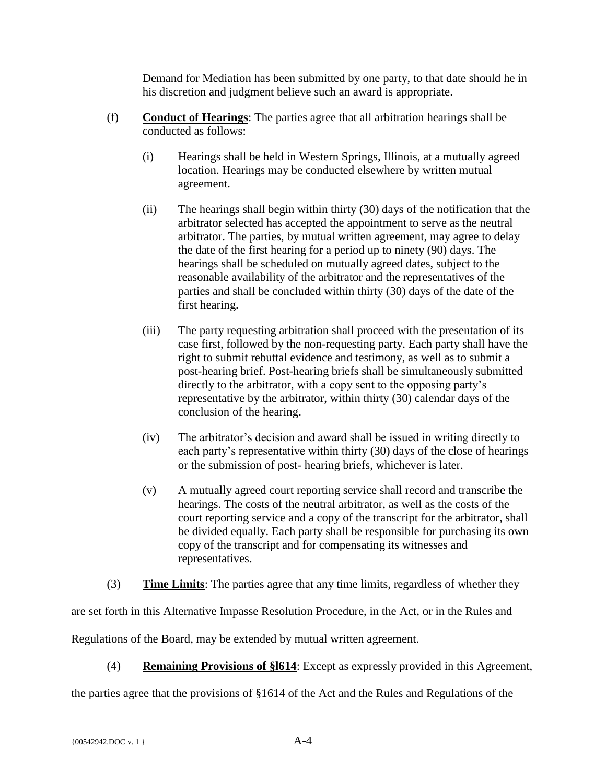Demand for Mediation has been submitted by one party, to that date should he in his discretion and judgment believe such an award is appropriate.

- (f) **Conduct of Hearings**: The parties agree that all arbitration hearings shall be conducted as follows:
	- (i) Hearings shall be held in Western Springs, Illinois, at a mutually agreed location. Hearings may be conducted elsewhere by written mutual agreement.
	- (ii) The hearings shall begin within thirty (30) days of the notification that the arbitrator selected has accepted the appointment to serve as the neutral arbitrator. The parties, by mutual written agreement, may agree to delay the date of the first hearing for a period up to ninety (90) days. The hearings shall be scheduled on mutually agreed dates, subject to the reasonable availability of the arbitrator and the representatives of the parties and shall be concluded within thirty (30) days of the date of the first hearing.
	- (iii) The party requesting arbitration shall proceed with the presentation of its case first, followed by the non-requesting party. Each party shall have the right to submit rebuttal evidence and testimony, as well as to submit a post-hearing brief. Post-hearing briefs shall be simultaneously submitted directly to the arbitrator, with a copy sent to the opposing party's representative by the arbitrator, within thirty (30) calendar days of the conclusion of the hearing.
	- (iv) The arbitrator's decision and award shall be issued in writing directly to each party's representative within thirty (30) days of the close of hearings or the submission of post- hearing briefs, whichever is later.
	- (v) A mutually agreed court reporting service shall record and transcribe the hearings. The costs of the neutral arbitrator, as well as the costs of the court reporting service and a copy of the transcript for the arbitrator, shall be divided equally. Each party shall be responsible for purchasing its own copy of the transcript and for compensating its witnesses and representatives.

(3) **Time Limits**: The parties agree that any time limits, regardless of whether they

are set forth in this Alternative Impasse Resolution Procedure, in the Act, or in the Rules and

Regulations of the Board, may be extended by mutual written agreement.

(4) **Remaining Provisions of §l614**: Except as expressly provided in this Agreement,

the parties agree that the provisions of §1614 of the Act and the Rules and Regulations of the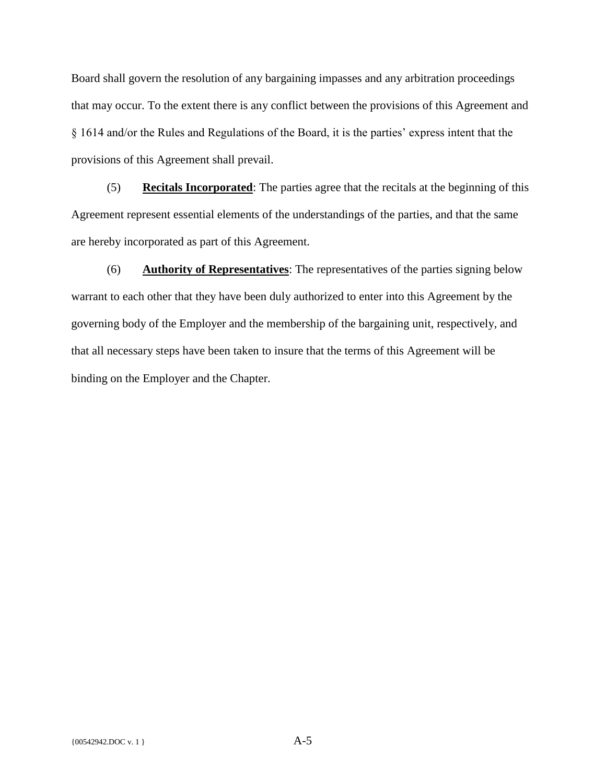Board shall govern the resolution of any bargaining impasses and any arbitration proceedings that may occur. To the extent there is any conflict between the provisions of this Agreement and § 1614 and/or the Rules and Regulations of the Board, it is the parties' express intent that the provisions of this Agreement shall prevail.

(5) **Recitals Incorporated**: The parties agree that the recitals at the beginning of this Agreement represent essential elements of the understandings of the parties, and that the same are hereby incorporated as part of this Agreement.

(6) **Authority of Representatives**: The representatives of the parties signing below warrant to each other that they have been duly authorized to enter into this Agreement by the governing body of the Employer and the membership of the bargaining unit, respectively, and that all necessary steps have been taken to insure that the terms of this Agreement will be binding on the Employer and the Chapter.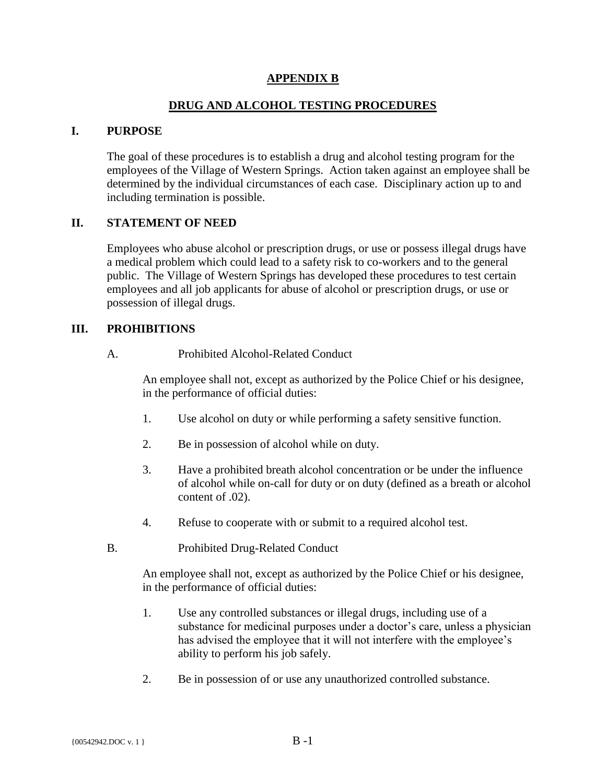# **APPENDIX B**

# **DRUG AND ALCOHOL TESTING PROCEDURES**

# <span id="page-49-0"></span>**I. PURPOSE**

The goal of these procedures is to establish a drug and alcohol testing program for the employees of the Village of Western Springs. Action taken against an employee shall be determined by the individual circumstances of each case. Disciplinary action up to and including termination is possible.

# **II. STATEMENT OF NEED**

Employees who abuse alcohol or prescription drugs, or use or possess illegal drugs have a medical problem which could lead to a safety risk to co-workers and to the general public. The Village of Western Springs has developed these procedures to test certain employees and all job applicants for abuse of alcohol or prescription drugs, or use or possession of illegal drugs.

# **III. PROHIBITIONS**

A. Prohibited Alcohol-Related Conduct

An employee shall not, except as authorized by the Police Chief or his designee, in the performance of official duties:

- 1. Use alcohol on duty or while performing a safety sensitive function.
- 2. Be in possession of alcohol while on duty.
- 3. Have a prohibited breath alcohol concentration or be under the influence of alcohol while on-call for duty or on duty (defined as a breath or alcohol content of .02).
- 4. Refuse to cooperate with or submit to a required alcohol test.
- B. Prohibited Drug-Related Conduct

An employee shall not, except as authorized by the Police Chief or his designee, in the performance of official duties:

- 1. Use any controlled substances or illegal drugs, including use of a substance for medicinal purposes under a doctor's care, unless a physician has advised the employee that it will not interfere with the employee's ability to perform his job safely.
- 2. Be in possession of or use any unauthorized controlled substance.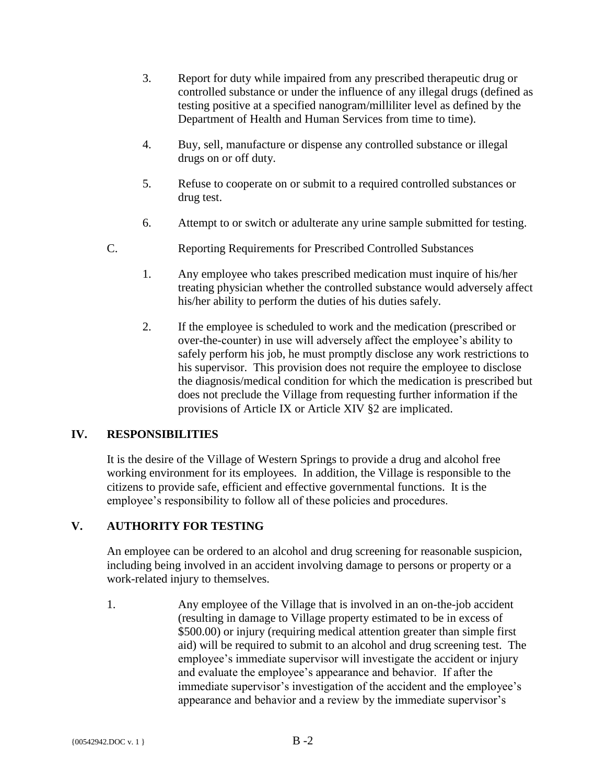- 3. Report for duty while impaired from any prescribed therapeutic drug or controlled substance or under the influence of any illegal drugs (defined as testing positive at a specified nanogram/milliliter level as defined by the Department of Health and Human Services from time to time).
- 4. Buy, sell, manufacture or dispense any controlled substance or illegal drugs on or off duty.
- 5. Refuse to cooperate on or submit to a required controlled substances or drug test.
- 6. Attempt to or switch or adulterate any urine sample submitted for testing.
- C. Reporting Requirements for Prescribed Controlled Substances
	- 1. Any employee who takes prescribed medication must inquire of his/her treating physician whether the controlled substance would adversely affect his/her ability to perform the duties of his duties safely.
	- 2. If the employee is scheduled to work and the medication (prescribed or over-the-counter) in use will adversely affect the employee's ability to safely perform his job, he must promptly disclose any work restrictions to his supervisor. This provision does not require the employee to disclose the diagnosis/medical condition for which the medication is prescribed but does not preclude the Village from requesting further information if the provisions of Article IX or Article XIV §2 are implicated.

# **IV. RESPONSIBILITIES**

It is the desire of the Village of Western Springs to provide a drug and alcohol free working environment for its employees. In addition, the Village is responsible to the citizens to provide safe, efficient and effective governmental functions. It is the employee's responsibility to follow all of these policies and procedures.

# **V. AUTHORITY FOR TESTING**

An employee can be ordered to an alcohol and drug screening for reasonable suspicion, including being involved in an accident involving damage to persons or property or a work-related injury to themselves.

1. Any employee of the Village that is involved in an on-the-job accident (resulting in damage to Village property estimated to be in excess of \$500.00) or injury (requiring medical attention greater than simple first aid) will be required to submit to an alcohol and drug screening test. The employee's immediate supervisor will investigate the accident or injury and evaluate the employee's appearance and behavior. If after the immediate supervisor's investigation of the accident and the employee's appearance and behavior and a review by the immediate supervisor's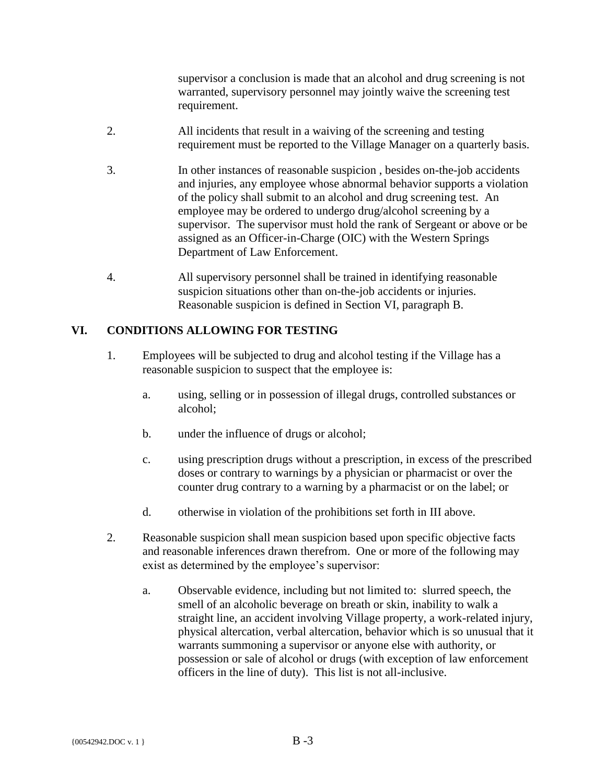supervisor a conclusion is made that an alcohol and drug screening is not warranted, supervisory personnel may jointly waive the screening test requirement.

- 2. All incidents that result in a waiving of the screening and testing requirement must be reported to the Village Manager on a quarterly basis.
- 3. In other instances of reasonable suspicion , besides on-the-job accidents and injuries, any employee whose abnormal behavior supports a violation of the policy shall submit to an alcohol and drug screening test. An employee may be ordered to undergo drug/alcohol screening by a supervisor. The supervisor must hold the rank of Sergeant or above or be assigned as an Officer-in-Charge (OIC) with the Western Springs Department of Law Enforcement.
- 4. All supervisory personnel shall be trained in identifying reasonable suspicion situations other than on-the-job accidents or injuries. Reasonable suspicion is defined in Section VI, paragraph B.

# **VI. CONDITIONS ALLOWING FOR TESTING**

- 1. Employees will be subjected to drug and alcohol testing if the Village has a reasonable suspicion to suspect that the employee is:
	- a. using, selling or in possession of illegal drugs, controlled substances or alcohol;
	- b. under the influence of drugs or alcohol;
	- c. using prescription drugs without a prescription, in excess of the prescribed doses or contrary to warnings by a physician or pharmacist or over the counter drug contrary to a warning by a pharmacist or on the label; or
	- d. otherwise in violation of the prohibitions set forth in III above.
- 2. Reasonable suspicion shall mean suspicion based upon specific objective facts and reasonable inferences drawn therefrom. One or more of the following may exist as determined by the employee's supervisor:
	- a. Observable evidence, including but not limited to: slurred speech, the smell of an alcoholic beverage on breath or skin, inability to walk a straight line, an accident involving Village property, a work-related injury, physical altercation, verbal altercation, behavior which is so unusual that it warrants summoning a supervisor or anyone else with authority, or possession or sale of alcohol or drugs (with exception of law enforcement officers in the line of duty). This list is not all-inclusive.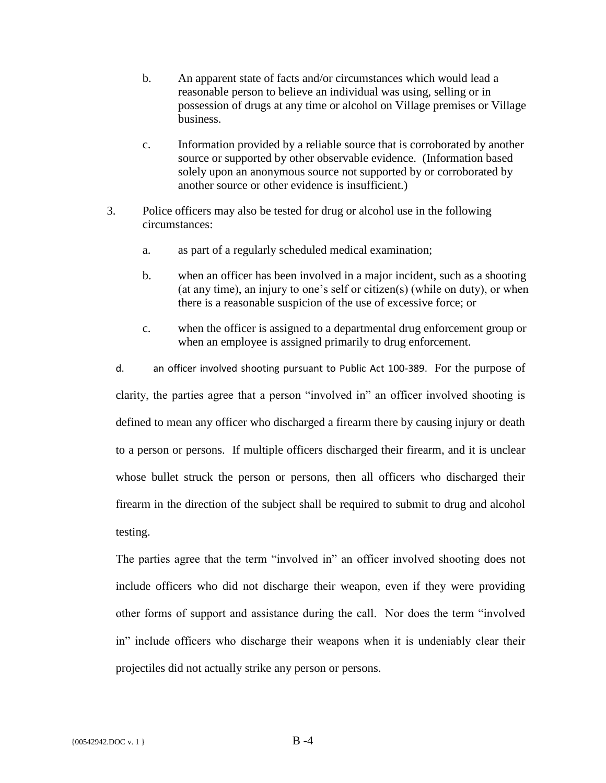- b. An apparent state of facts and/or circumstances which would lead a reasonable person to believe an individual was using, selling or in possession of drugs at any time or alcohol on Village premises or Village business.
- c. Information provided by a reliable source that is corroborated by another source or supported by other observable evidence. (Information based solely upon an anonymous source not supported by or corroborated by another source or other evidence is insufficient.)
- 3. Police officers may also be tested for drug or alcohol use in the following circumstances:
	- a. as part of a regularly scheduled medical examination;
	- b. when an officer has been involved in a major incident, such as a shooting (at any time), an injury to one's self or citizen(s) (while on duty), or when there is a reasonable suspicion of the use of excessive force; or
	- c. when the officer is assigned to a departmental drug enforcement group or when an employee is assigned primarily to drug enforcement.

d. an officer involved shooting pursuant to Public Act 100-389. For the purpose of clarity, the parties agree that a person "involved in" an officer involved shooting is defined to mean any officer who discharged a firearm there by causing injury or death to a person or persons. If multiple officers discharged their firearm, and it is unclear whose bullet struck the person or persons, then all officers who discharged their firearm in the direction of the subject shall be required to submit to drug and alcohol testing.

The parties agree that the term "involved in" an officer involved shooting does not include officers who did not discharge their weapon, even if they were providing other forms of support and assistance during the call. Nor does the term "involved in" include officers who discharge their weapons when it is undeniably clear their projectiles did not actually strike any person or persons.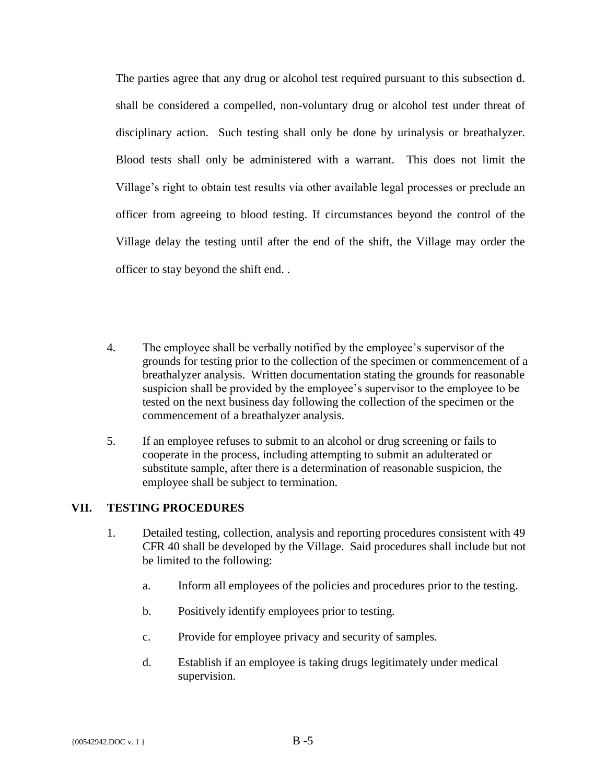The parties agree that any drug or alcohol test required pursuant to this subsection d. shall be considered a compelled, non-voluntary drug or alcohol test under threat of disciplinary action. Such testing shall only be done by urinalysis or breathalyzer. Blood tests shall only be administered with a warrant. This does not limit the Village's right to obtain test results via other available legal processes or preclude an officer from agreeing to blood testing. If circumstances beyond the control of the Village delay the testing until after the end of the shift, the Village may order the officer to stay beyond the shift end. .

- 4. The employee shall be verbally notified by the employee's supervisor of the grounds for testing prior to the collection of the specimen or commencement of a breathalyzer analysis. Written documentation stating the grounds for reasonable suspicion shall be provided by the employee's supervisor to the employee to be tested on the next business day following the collection of the specimen or the commencement of a breathalyzer analysis.
- 5. If an employee refuses to submit to an alcohol or drug screening or fails to cooperate in the process, including attempting to submit an adulterated or substitute sample, after there is a determination of reasonable suspicion, the employee shall be subject to termination.

# **VII. TESTING PROCEDURES**

- 1. Detailed testing, collection, analysis and reporting procedures consistent with 49 CFR 40 shall be developed by the Village. Said procedures shall include but not be limited to the following:
	- a. Inform all employees of the policies and procedures prior to the testing.
	- b. Positively identify employees prior to testing.
	- c. Provide for employee privacy and security of samples.
	- d. Establish if an employee is taking drugs legitimately under medical supervision.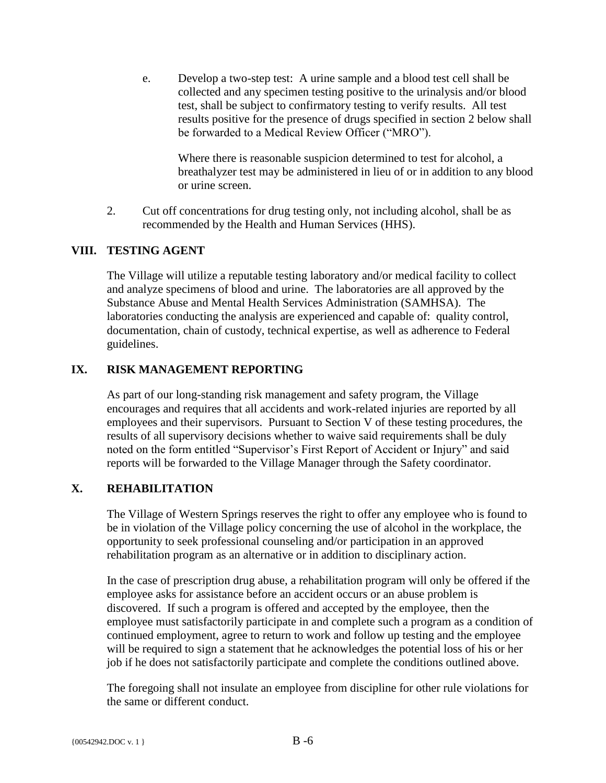e. Develop a two-step test: A urine sample and a blood test cell shall be collected and any specimen testing positive to the urinalysis and/or blood test, shall be subject to confirmatory testing to verify results. All test results positive for the presence of drugs specified in section 2 below shall be forwarded to a Medical Review Officer ("MRO").

Where there is reasonable suspicion determined to test for alcohol, a breathalyzer test may be administered in lieu of or in addition to any blood or urine screen.

2. Cut off concentrations for drug testing only, not including alcohol, shall be as recommended by the Health and Human Services (HHS).

# **VIII. TESTING AGENT**

The Village will utilize a reputable testing laboratory and/or medical facility to collect and analyze specimens of blood and urine. The laboratories are all approved by the Substance Abuse and Mental Health Services Administration (SAMHSA). The laboratories conducting the analysis are experienced and capable of: quality control, documentation, chain of custody, technical expertise, as well as adherence to Federal guidelines.

# **IX. RISK MANAGEMENT REPORTING**

As part of our long-standing risk management and safety program, the Village encourages and requires that all accidents and work-related injuries are reported by all employees and their supervisors. Pursuant to Section V of these testing procedures, the results of all supervisory decisions whether to waive said requirements shall be duly noted on the form entitled "Supervisor's First Report of Accident or Injury" and said reports will be forwarded to the Village Manager through the Safety coordinator.

# **X. REHABILITATION**

The Village of Western Springs reserves the right to offer any employee who is found to be in violation of the Village policy concerning the use of alcohol in the workplace, the opportunity to seek professional counseling and/or participation in an approved rehabilitation program as an alternative or in addition to disciplinary action.

In the case of prescription drug abuse, a rehabilitation program will only be offered if the employee asks for assistance before an accident occurs or an abuse problem is discovered. If such a program is offered and accepted by the employee, then the employee must satisfactorily participate in and complete such a program as a condition of continued employment, agree to return to work and follow up testing and the employee will be required to sign a statement that he acknowledges the potential loss of his or her job if he does not satisfactorily participate and complete the conditions outlined above.

The foregoing shall not insulate an employee from discipline for other rule violations for the same or different conduct.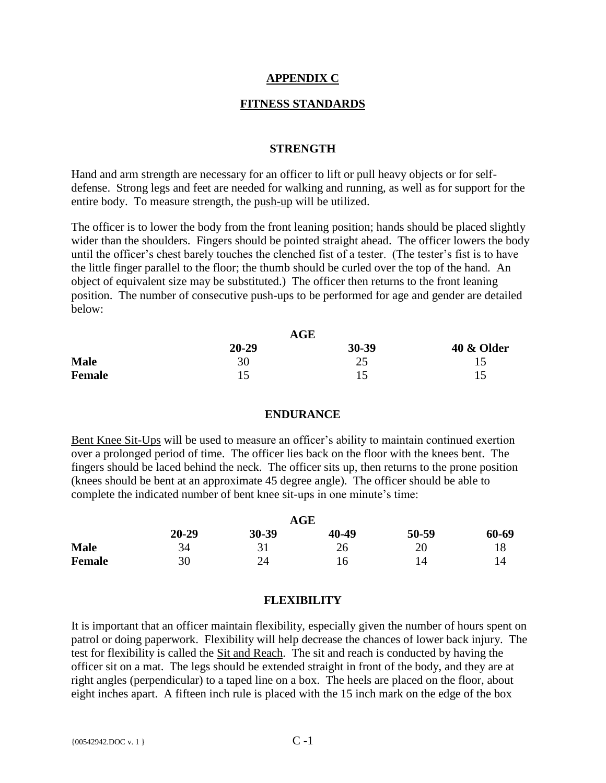# **APPENDIX C**

# **FITNESS STANDARDS**

## **STRENGTH**

<span id="page-55-1"></span><span id="page-55-0"></span>Hand and arm strength are necessary for an officer to lift or pull heavy objects or for selfdefense. Strong legs and feet are needed for walking and running, as well as for support for the entire body. To measure strength, the push-up will be utilized.

The officer is to lower the body from the front leaning position; hands should be placed slightly wider than the shoulders. Fingers should be pointed straight ahead. The officer lowers the body until the officer's chest barely touches the clenched fist of a tester. (The tester's fist is to have the little finger parallel to the floor; the thumb should be curled over the top of the hand. An object of equivalent size may be substituted.) The officer then returns to the front leaning position. The number of consecutive push-ups to be performed for age and gender are detailed below:

|               |           | AGE   |                       |
|---------------|-----------|-------|-----------------------|
|               | $20 - 29$ | 30-39 | <b>40 &amp; Older</b> |
| <b>Male</b>   | 30        | 25    |                       |
| <b>Female</b> |           |       |                       |

### **ENDURANCE**

Bent Knee Sit-Ups will be used to measure an officer's ability to maintain continued exertion over a prolonged period of time. The officer lies back on the floor with the knees bent. The fingers should be laced behind the neck. The officer sits up, then returns to the prone position (knees should be bent at an approximate 45 degree angle). The officer should be able to complete the indicated number of bent knee sit-ups in one minute's time:

|               | AGE       |       |       |       |       |
|---------------|-----------|-------|-------|-------|-------|
|               | $20 - 29$ | 30-39 | 40-49 | 50-59 | 60-69 |
| <b>Male</b>   | 34        | 31    | 26    | 20    | 18    |
| <b>Female</b> | 30        | 24    | 16    | 14    | 4 ا   |

#### **FLEXIBILITY**

It is important that an officer maintain flexibility, especially given the number of hours spent on patrol or doing paperwork. Flexibility will help decrease the chances of lower back injury. The test for flexibility is called the Sit and Reach. The sit and reach is conducted by having the officer sit on a mat. The legs should be extended straight in front of the body, and they are at right angles (perpendicular) to a taped line on a box. The heels are placed on the floor, about eight inches apart. A fifteen inch rule is placed with the 15 inch mark on the edge of the box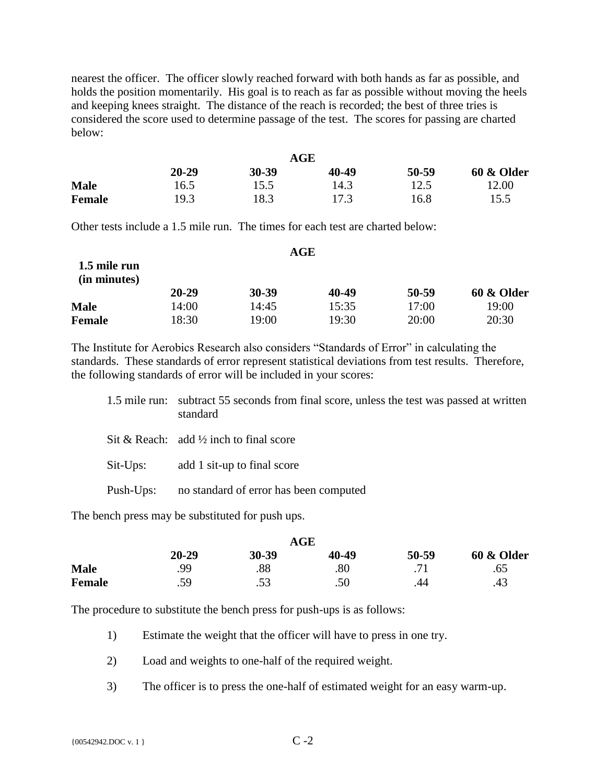nearest the officer. The officer slowly reached forward with both hands as far as possible, and holds the position momentarily. His goal is to reach as far as possible without moving the heels and keeping knees straight. The distance of the reach is recorded; the best of three tries is considered the score used to determine passage of the test. The scores for passing are charted below:

|               | AGE   |       |       |       |            |
|---------------|-------|-------|-------|-------|------------|
|               | 20-29 | 30-39 | 40-49 | 50-59 | 60 & Older |
| <b>Male</b>   | 16.5  | 15.5  | 14.3  | 12.5  | 12.00      |
| <b>Female</b> | 19.3  | 18.3  | 17.3  | 16.8  | 15.5       |

Other tests include a 1.5 mile run. The times for each test are charted below:

|                              |           | AGE   |       |       |            |
|------------------------------|-----------|-------|-------|-------|------------|
| 1.5 mile run<br>(in minutes) |           |       |       |       |            |
|                              | $20 - 29$ | 30-39 | 40-49 | 50-59 | 60 & Older |
| <b>Male</b>                  | 14:00     | 14:45 | 15:35 | 17:00 | 19:00      |
| <b>Female</b>                | 18:30     | 19:00 | 19:30 | 20:00 | 20:30      |

The Institute for Aerobics Research also considers "Standards of Error" in calculating the standards. These standards of error represent statistical deviations from test results. Therefore, the following standards of error will be included in your scores:

|           | 1.5 mile run: subtract 55 seconds from final score, unless the test was passed at written<br>standard |
|-----------|-------------------------------------------------------------------------------------------------------|
|           | Sit & Reach: add $\frac{1}{2}$ inch to final score                                                    |
|           | Sit-Ups: add 1 sit-up to final score                                                                  |
| Push-Ups: | no standard of error has been computed                                                                |

The bench press may be substituted for push ups.

|               |       |       | AGE   |       |            |
|---------------|-------|-------|-------|-------|------------|
|               | 20-29 | 30-39 | 40-49 | 50-59 | 60 & Older |
| <b>Male</b>   | .99   | .88   | .80   |       | .65        |
| <b>Female</b> | .59   | .53   | .50   | .44   | .43        |

The procedure to substitute the bench press for push-ups is as follows:

- 1) Estimate the weight that the officer will have to press in one try.
- 2) Load and weights to one-half of the required weight.
- 3) The officer is to press the one-half of estimated weight for an easy warm-up.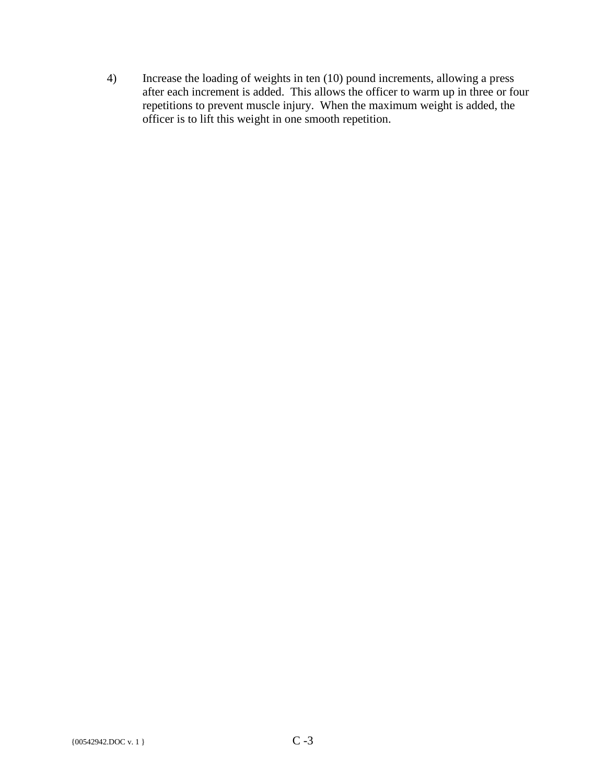4) Increase the loading of weights in ten (10) pound increments, allowing a press after each increment is added. This allows the officer to warm up in three or four repetitions to prevent muscle injury. When the maximum weight is added, the officer is to lift this weight in one smooth repetition.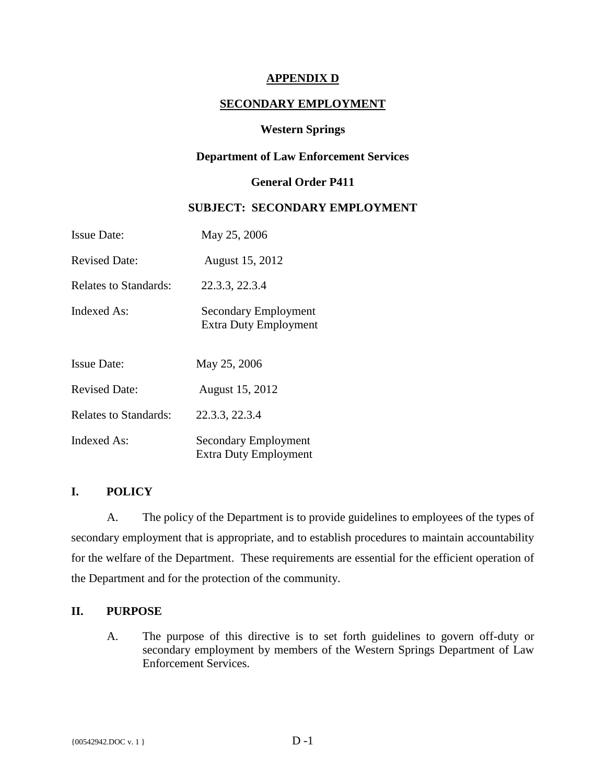# **APPENDIX D**

# **SECONDARY EMPLOYMENT**

# **Western Springs**

## <span id="page-58-0"></span>**Department of Law Enforcement Services**

# **General Order P411**

# **SUBJECT: SECONDARY EMPLOYMENT**

<span id="page-58-1"></span>

| <b>Issue Date:</b>    | May 25, 2006                                         |
|-----------------------|------------------------------------------------------|
| <b>Revised Date:</b>  | August 15, 2012                                      |
| Relates to Standards: | 22.3.3, 22.3.4                                       |
| Indexed As:           | Secondary Employment<br><b>Extra Duty Employment</b> |
| <b>Issue Date:</b>    | May 25, 2006                                         |
| <b>Revised Date:</b>  | August 15, 2012                                      |
| Relates to Standards: | 22.3.3, 22.3.4                                       |
| Indexed As:           | Secondary Employment<br><b>Extra Duty Employment</b> |

# **I. POLICY**

A. The policy of the Department is to provide guidelines to employees of the types of secondary employment that is appropriate, and to establish procedures to maintain accountability for the welfare of the Department. These requirements are essential for the efficient operation of the Department and for the protection of the community.

# **II. PURPOSE**

A. The purpose of this directive is to set forth guidelines to govern off-duty or secondary employment by members of the Western Springs Department of Law Enforcement Services.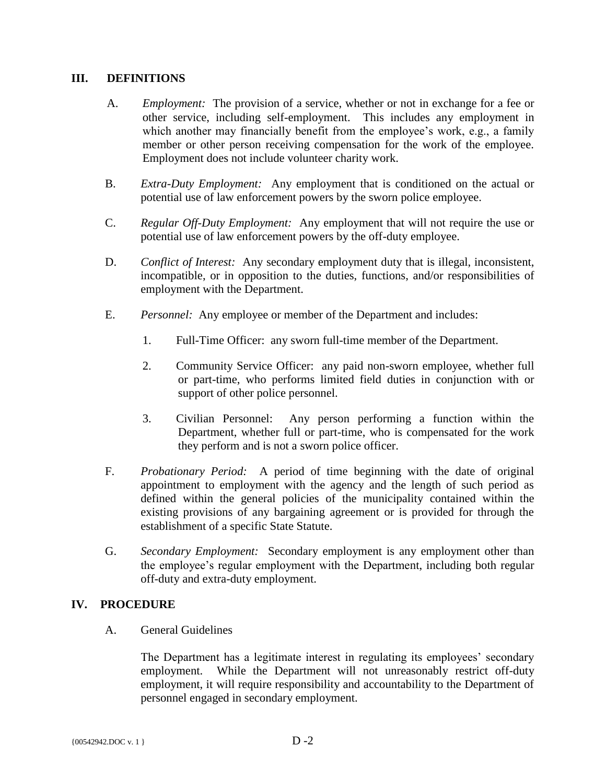# **III. DEFINITIONS**

- A. *Employment:* The provision of a service, whether or not in exchange for a fee or other service, including self-employment. This includes any employment in which another may financially benefit from the employee's work, e.g., a family member or other person receiving compensation for the work of the employee. Employment does not include volunteer charity work.
- B. *Extra-Duty Employment:* Any employment that is conditioned on the actual or potential use of law enforcement powers by the sworn police employee.
- C. *Regular Off-Duty Employment:* Any employment that will not require the use or potential use of law enforcement powers by the off-duty employee.
- D. *Conflict of Interest:* Any secondary employment duty that is illegal, inconsistent, incompatible, or in opposition to the duties, functions, and/or responsibilities of employment with the Department.
- E. *Personnel:* Any employee or member of the Department and includes:
	- 1. Full-Time Officer: any sworn full-time member of the Department.
	- 2. Community Service Officer: any paid non-sworn employee, whether full or part-time, who performs limited field duties in conjunction with or support of other police personnel.
	- 3. Civilian Personnel: Any person performing a function within the Department, whether full or part-time, who is compensated for the work they perform and is not a sworn police officer.
- F. *Probationary Period:* A period of time beginning with the date of original appointment to employment with the agency and the length of such period as defined within the general policies of the municipality contained within the existing provisions of any bargaining agreement or is provided for through the establishment of a specific State Statute.
- G. *Secondary Employment:* Secondary employment is any employment other than the employee's regular employment with the Department, including both regular off-duty and extra-duty employment.

# **IV. PROCEDURE**

A. General Guidelines

The Department has a legitimate interest in regulating its employees' secondary employment. While the Department will not unreasonably restrict off-duty employment, it will require responsibility and accountability to the Department of personnel engaged in secondary employment.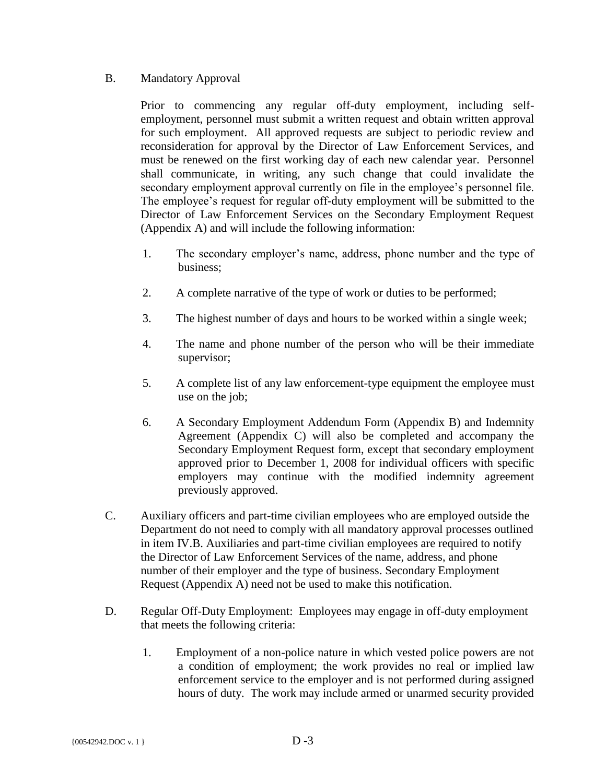# B. Mandatory Approval

Prior to commencing any regular off-duty employment, including selfemployment, personnel must submit a written request and obtain written approval for such employment. All approved requests are subject to periodic review and reconsideration for approval by the Director of Law Enforcement Services, and must be renewed on the first working day of each new calendar year. Personnel shall communicate, in writing, any such change that could invalidate the secondary employment approval currently on file in the employee's personnel file. The employee's request for regular off-duty employment will be submitted to the Director of Law Enforcement Services on the Secondary Employment Request (Appendix A) and will include the following information:

- 1. The secondary employer's name, address, phone number and the type of business;
- 2. A complete narrative of the type of work or duties to be performed;
- 3. The highest number of days and hours to be worked within a single week;
- 4. The name and phone number of the person who will be their immediate supervisor;
- 5. A complete list of any law enforcement-type equipment the employee must use on the job;
- 6. A Secondary Employment Addendum Form (Appendix B) and Indemnity Agreement (Appendix C) will also be completed and accompany the Secondary Employment Request form, except that secondary employment approved prior to December 1, 2008 for individual officers with specific employers may continue with the modified indemnity agreement previously approved.
- C. Auxiliary officers and part-time civilian employees who are employed outside the Department do not need to comply with all mandatory approval processes outlined in item IV.B. Auxiliaries and part-time civilian employees are required to notify the Director of Law Enforcement Services of the name, address, and phone number of their employer and the type of business. Secondary Employment Request (Appendix A) need not be used to make this notification.
- D. Regular Off-Duty Employment: Employees may engage in off-duty employment that meets the following criteria:
	- 1. Employment of a non-police nature in which vested police powers are not a condition of employment; the work provides no real or implied law enforcement service to the employer and is not performed during assigned hours of duty. The work may include armed or unarmed security provided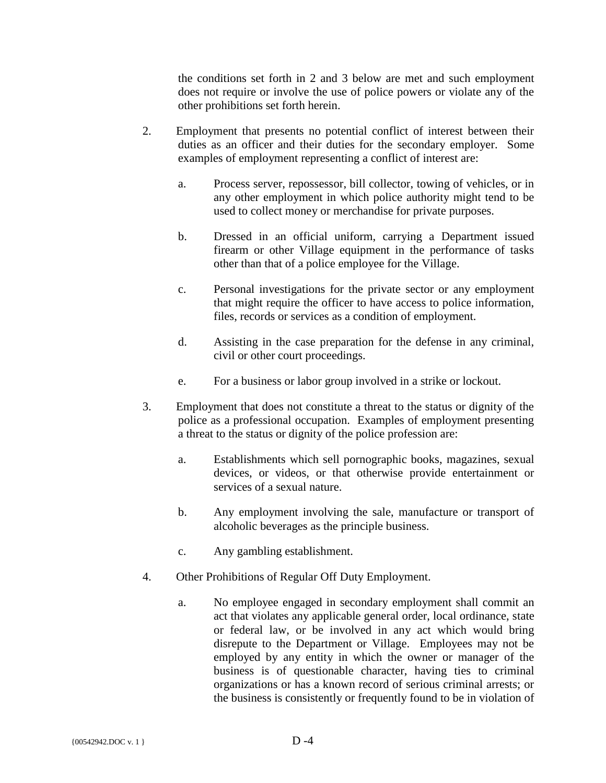the conditions set forth in 2 and 3 below are met and such employment does not require or involve the use of police powers or violate any of the other prohibitions set forth herein.

- 2. Employment that presents no potential conflict of interest between their duties as an officer and their duties for the secondary employer. Some examples of employment representing a conflict of interest are:
	- a. Process server, repossessor, bill collector, towing of vehicles, or in any other employment in which police authority might tend to be used to collect money or merchandise for private purposes.
	- b. Dressed in an official uniform, carrying a Department issued firearm or other Village equipment in the performance of tasks other than that of a police employee for the Village.
	- c. Personal investigations for the private sector or any employment that might require the officer to have access to police information, files, records or services as a condition of employment.
	- d. Assisting in the case preparation for the defense in any criminal, civil or other court proceedings.
	- e. For a business or labor group involved in a strike or lockout.
- 3. Employment that does not constitute a threat to the status or dignity of the police as a professional occupation. Examples of employment presenting a threat to the status or dignity of the police profession are:
	- a. Establishments which sell pornographic books, magazines, sexual devices, or videos, or that otherwise provide entertainment or services of a sexual nature.
	- b. Any employment involving the sale, manufacture or transport of alcoholic beverages as the principle business.
	- c. Any gambling establishment.
- 4. Other Prohibitions of Regular Off Duty Employment.
	- a. No employee engaged in secondary employment shall commit an act that violates any applicable general order, local ordinance, state or federal law, or be involved in any act which would bring disrepute to the Department or Village. Employees may not be employed by any entity in which the owner or manager of the business is of questionable character, having ties to criminal organizations or has a known record of serious criminal arrests; or the business is consistently or frequently found to be in violation of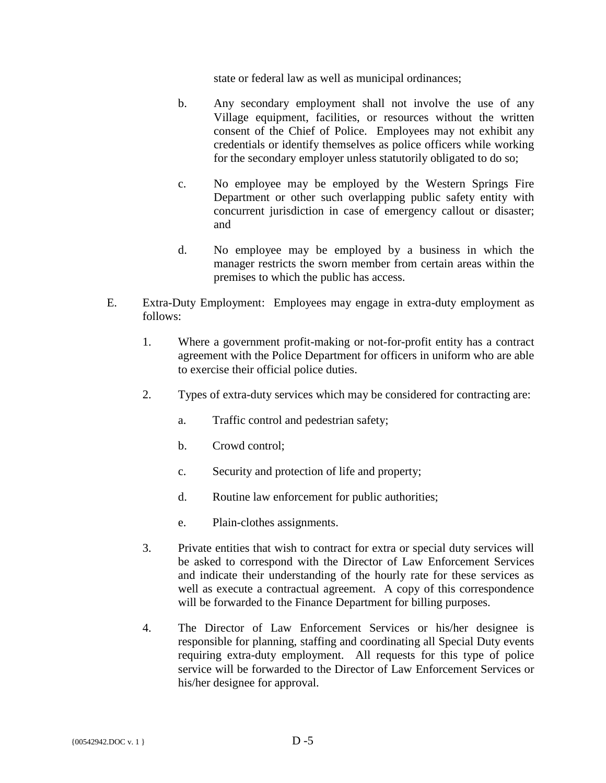state or federal law as well as municipal ordinances;

- b. Any secondary employment shall not involve the use of any Village equipment, facilities, or resources without the written consent of the Chief of Police. Employees may not exhibit any credentials or identify themselves as police officers while working for the secondary employer unless statutorily obligated to do so;
- c. No employee may be employed by the Western Springs Fire Department or other such overlapping public safety entity with concurrent jurisdiction in case of emergency callout or disaster; and
- d. No employee may be employed by a business in which the manager restricts the sworn member from certain areas within the premises to which the public has access.
- E. Extra-Duty Employment: Employees may engage in extra-duty employment as follows:
	- 1. Where a government profit-making or not-for-profit entity has a contract agreement with the Police Department for officers in uniform who are able to exercise their official police duties.
	- 2. Types of extra-duty services which may be considered for contracting are:
		- a. Traffic control and pedestrian safety;
		- b. Crowd control;
		- c. Security and protection of life and property;
		- d. Routine law enforcement for public authorities;
		- e. Plain-clothes assignments.
	- 3. Private entities that wish to contract for extra or special duty services will be asked to correspond with the Director of Law Enforcement Services and indicate their understanding of the hourly rate for these services as well as execute a contractual agreement. A copy of this correspondence will be forwarded to the Finance Department for billing purposes.
	- 4. The Director of Law Enforcement Services or his/her designee is responsible for planning, staffing and coordinating all Special Duty events requiring extra-duty employment. All requests for this type of police service will be forwarded to the Director of Law Enforcement Services or his/her designee for approval.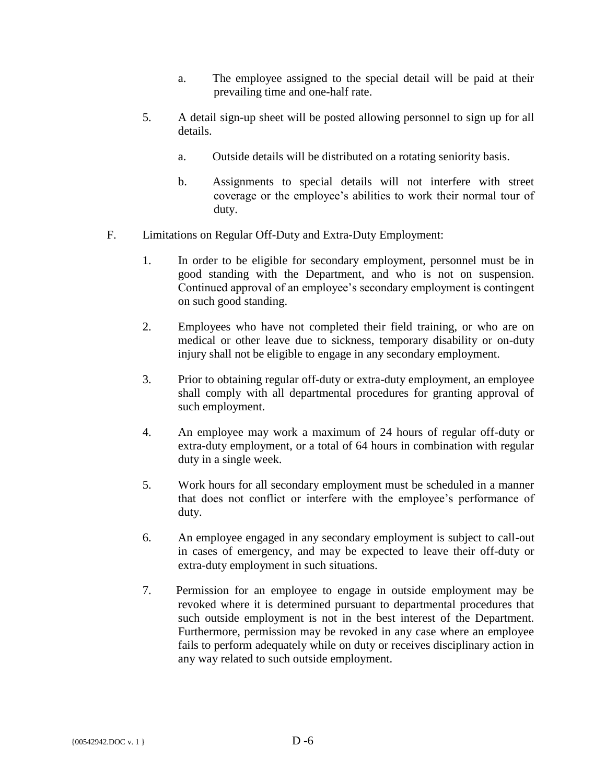- a. The employee assigned to the special detail will be paid at their prevailing time and one-half rate.
- 5. A detail sign-up sheet will be posted allowing personnel to sign up for all details.
	- a. Outside details will be distributed on a rotating seniority basis.
	- b. Assignments to special details will not interfere with street coverage or the employee's abilities to work their normal tour of duty.
- F. Limitations on Regular Off-Duty and Extra-Duty Employment:
	- 1. In order to be eligible for secondary employment, personnel must be in good standing with the Department, and who is not on suspension. Continued approval of an employee's secondary employment is contingent on such good standing.
	- 2. Employees who have not completed their field training, or who are on medical or other leave due to sickness, temporary disability or on-duty injury shall not be eligible to engage in any secondary employment.
	- 3. Prior to obtaining regular off-duty or extra-duty employment, an employee shall comply with all departmental procedures for granting approval of such employment.
	- 4. An employee may work a maximum of 24 hours of regular off-duty or extra-duty employment, or a total of 64 hours in combination with regular duty in a single week.
	- 5. Work hours for all secondary employment must be scheduled in a manner that does not conflict or interfere with the employee's performance of duty.
	- 6. An employee engaged in any secondary employment is subject to call-out in cases of emergency, and may be expected to leave their off-duty or extra-duty employment in such situations.
	- 7. Permission for an employee to engage in outside employment may be revoked where it is determined pursuant to departmental procedures that such outside employment is not in the best interest of the Department. Furthermore, permission may be revoked in any case where an employee fails to perform adequately while on duty or receives disciplinary action in any way related to such outside employment.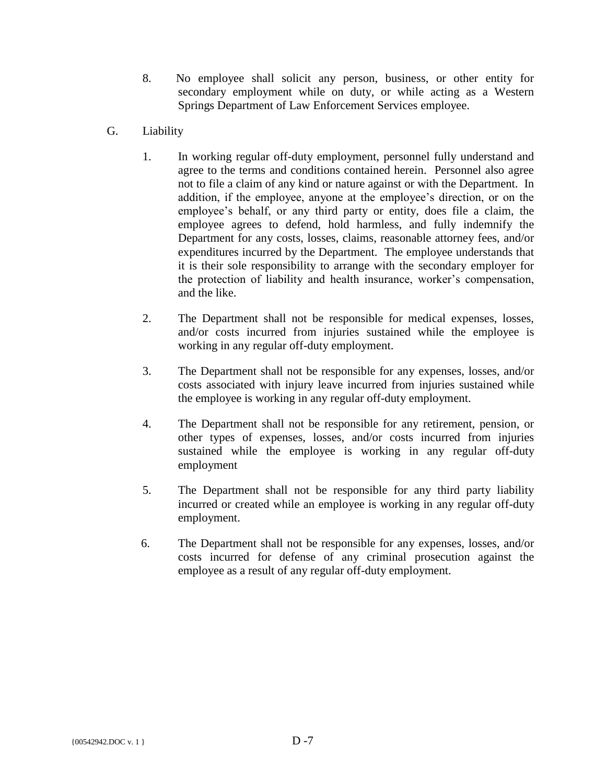- 8. No employee shall solicit any person, business, or other entity for secondary employment while on duty, or while acting as a Western Springs Department of Law Enforcement Services employee.
- G. Liability
	- 1. In working regular off-duty employment, personnel fully understand and agree to the terms and conditions contained herein. Personnel also agree not to file a claim of any kind or nature against or with the Department. In addition, if the employee, anyone at the employee's direction, or on the employee's behalf, or any third party or entity, does file a claim, the employee agrees to defend, hold harmless, and fully indemnify the Department for any costs, losses, claims, reasonable attorney fees, and/or expenditures incurred by the Department. The employee understands that it is their sole responsibility to arrange with the secondary employer for the protection of liability and health insurance, worker's compensation, and the like.
	- 2. The Department shall not be responsible for medical expenses, losses, and/or costs incurred from injuries sustained while the employee is working in any regular off-duty employment.
	- 3. The Department shall not be responsible for any expenses, losses, and/or costs associated with injury leave incurred from injuries sustained while the employee is working in any regular off-duty employment.
	- 4. The Department shall not be responsible for any retirement, pension, or other types of expenses, losses, and/or costs incurred from injuries sustained while the employee is working in any regular off-duty employment
	- 5. The Department shall not be responsible for any third party liability incurred or created while an employee is working in any regular off-duty employment.
	- 6. The Department shall not be responsible for any expenses, losses, and/or costs incurred for defense of any criminal prosecution against the employee as a result of any regular off-duty employment.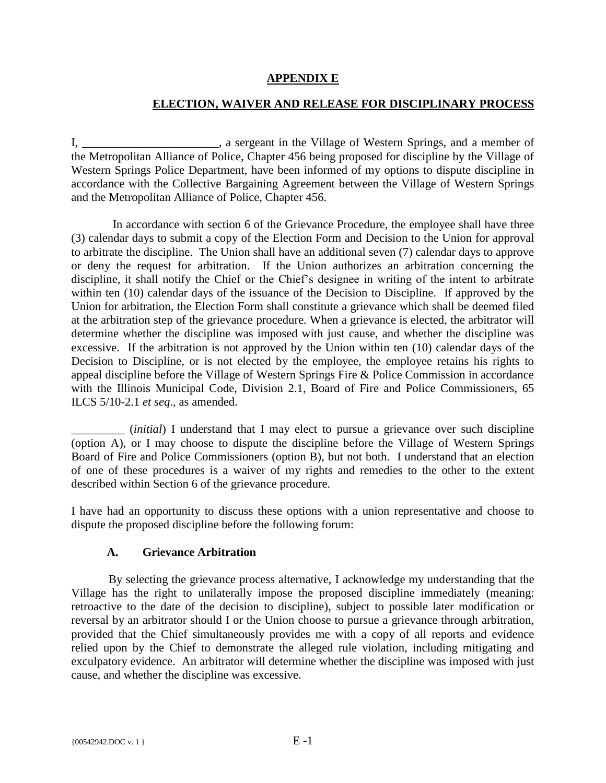# **APPENDIX E**

# **ELECTION, WAIVER AND RELEASE FOR DISCIPLINARY PROCESS**

<span id="page-65-1"></span><span id="page-65-0"></span>I, a sergeant in the Village of Western Springs, and a member of the Metropolitan Alliance of Police, Chapter 456 being proposed for discipline by the Village of Western Springs Police Department, have been informed of my options to dispute discipline in accordance with the Collective Bargaining Agreement between the Village of Western Springs and the Metropolitan Alliance of Police, Chapter 456.

In accordance with section 6 of the Grievance Procedure, the employee shall have three (3) calendar days to submit a copy of the Election Form and Decision to the Union for approval to arbitrate the discipline. The Union shall have an additional seven (7) calendar days to approve or deny the request for arbitration. If the Union authorizes an arbitration concerning the discipline, it shall notify the Chief or the Chief's designee in writing of the intent to arbitrate within ten (10) calendar days of the issuance of the Decision to Discipline. If approved by the Union for arbitration, the Election Form shall constitute a grievance which shall be deemed filed at the arbitration step of the grievance procedure. When a grievance is elected, the arbitrator will determine whether the discipline was imposed with just cause, and whether the discipline was excessive. If the arbitration is not approved by the Union within ten (10) calendar days of the Decision to Discipline, or is not elected by the employee, the employee retains his rights to appeal discipline before the Village of Western Springs Fire & Police Commission in accordance with the Illinois Municipal Code, Division 2.1, Board of Fire and Police Commissioners, 65 ILCS 5/10-2.1 *et seq*., as amended.

\_\_\_\_\_\_\_\_\_ (*initial*) I understand that I may elect to pursue a grievance over such discipline (option A), or I may choose to dispute the discipline before the Village of Western Springs Board of Fire and Police Commissioners (option B), but not both. I understand that an election of one of these procedures is a waiver of my rights and remedies to the other to the extent described within Section 6 of the grievance procedure.

I have had an opportunity to discuss these options with a union representative and choose to dispute the proposed discipline before the following forum:

# **A. Grievance Arbitration**

By selecting the grievance process alternative, I acknowledge my understanding that the Village has the right to unilaterally impose the proposed discipline immediately (meaning: retroactive to the date of the decision to discipline), subject to possible later modification or reversal by an arbitrator should I or the Union choose to pursue a grievance through arbitration, provided that the Chief simultaneously provides me with a copy of all reports and evidence relied upon by the Chief to demonstrate the alleged rule violation, including mitigating and exculpatory evidence. An arbitrator will determine whether the discipline was imposed with just cause, and whether the discipline was excessive.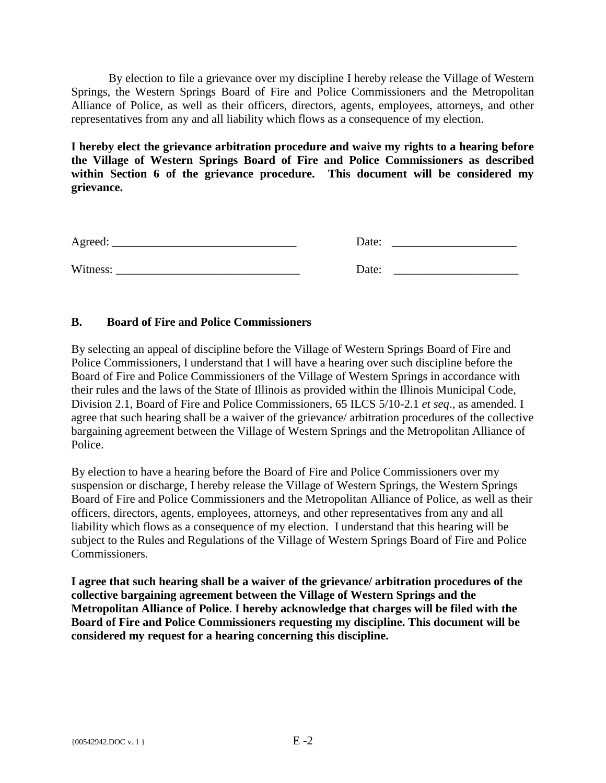By election to file a grievance over my discipline I hereby release the Village of Western Springs, the Western Springs Board of Fire and Police Commissioners and the Metropolitan Alliance of Police, as well as their officers, directors, agents, employees, attorneys, and other representatives from any and all liability which flows as a consequence of my election.

**I hereby elect the grievance arbitration procedure and waive my rights to a hearing before the Village of Western Springs Board of Fire and Police Commissioners as described within Section 6 of the grievance procedure. This document will be considered my grievance.** 

| Agreed:  | Date: |
|----------|-------|
| Witness: | Date: |

# **B. Board of Fire and Police Commissioners**

By selecting an appeal of discipline before the Village of Western Springs Board of Fire and Police Commissioners, I understand that I will have a hearing over such discipline before the Board of Fire and Police Commissioners of the Village of Western Springs in accordance with their rules and the laws of the State of Illinois as provided within the Illinois Municipal Code, Division 2.1, Board of Fire and Police Commissioners, 65 ILCS 5/10-2.1 *et seq*., as amended. I agree that such hearing shall be a waiver of the grievance/ arbitration procedures of the collective bargaining agreement between the Village of Western Springs and the Metropolitan Alliance of Police.

By election to have a hearing before the Board of Fire and Police Commissioners over my suspension or discharge, I hereby release the Village of Western Springs, the Western Springs Board of Fire and Police Commissioners and the Metropolitan Alliance of Police, as well as their officers, directors, agents, employees, attorneys, and other representatives from any and all liability which flows as a consequence of my election. I understand that this hearing will be subject to the Rules and Regulations of the Village of Western Springs Board of Fire and Police Commissioners.

**I agree that such hearing shall be a waiver of the grievance/ arbitration procedures of the collective bargaining agreement between the Village of Western Springs and the Metropolitan Alliance of Police**. **I hereby acknowledge that charges will be filed with the Board of Fire and Police Commissioners requesting my discipline. This document will be considered my request for a hearing concerning this discipline.**